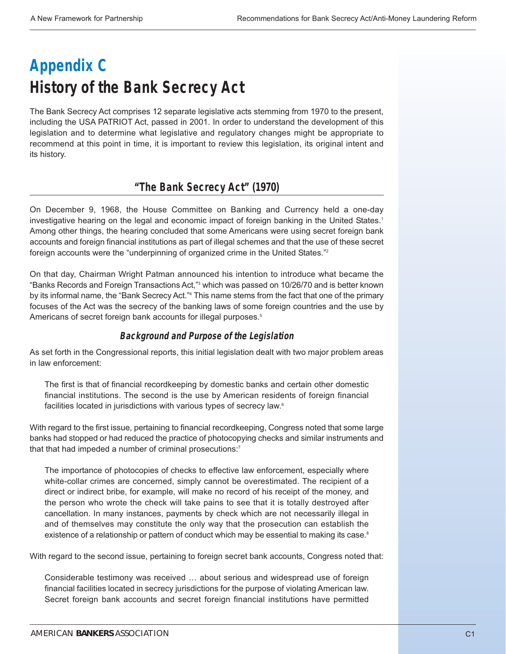# **Appendix C History of the Bank Secrecy Act**

The Bank Secrecy Act comprises 12 separate legislative acts stemming from 1970 to the present, including the USA PATRIOT Act, passed in 2001. In order to understand the development of this legislation and to determine what legislative and regulatory changes might be appropriate to recommend at this point in time, it is important to review this legislation, its original intent and its history.

# **"The Bank Secrecy Act" (1970)**

On December 9, 1968, the House Committee on Banking and Currency held a one-day investigative hearing on the legal and economic impact of foreign banking in the United States.<sup>1</sup> Among other things, the hearing concluded that some Americans were using secret foreign bank accounts and foreign financial institutions as part of illegal schemes and that the use of these secret foreign accounts were the "underpinning of organized crime in the United States."2

On that day, Chairman Wright Patman announced his intention to introduce what became the "Banks Records and Foreign Transactions Act,"3 which was passed on 10/26/70 and is better known by its informal name, the "Bank Secrecy Act."<sup>4</sup> This name stems from the fact that one of the primary focuses of the Act was the secrecy of the banking laws of some foreign countries and the use by Americans of secret foreign bank accounts for illegal purposes.<sup>5</sup>

## **Background and Purpose of the Legislation**

As set forth in the Congressional reports, this initial legislation dealt with two major problem areas in law enforcement:

The first is that of financial recordkeeping by domestic banks and certain other domestic financial institutions. The second is the use by American residents of foreign financial facilities located in jurisdictions with various types of secrecy law.<sup>6</sup>

With regard to the first issue, pertaining to financial recordkeeping, Congress noted that some large banks had stopped or had reduced the practice of photocopying checks and similar instruments and that that had impeded a number of criminal prosecutions:<sup>7</sup>

The importance of photocopies of checks to effective law enforcement, especially where white-collar crimes are concerned, simply cannot be overestimated. The recipient of a direct or indirect bribe, for example, will make no record of his receipt of the money, and the person who wrote the check will take pains to see that it is totally destroyed after cancellation. In many instances, payments by check which are not necessarily illegal in and of themselves may constitute the only way that the prosecution can establish the existence of a relationship or pattern of conduct which may be essential to making its case.<sup>8</sup>

With regard to the second issue, pertaining to foreign secret bank accounts, Congress noted that:

Considerable testimony was received … about serious and widespread use of foreign financial facilities located in secrecy jurisdictions for the purpose of violating American law. Secret foreign bank accounts and secret foreign financial institutions have permitted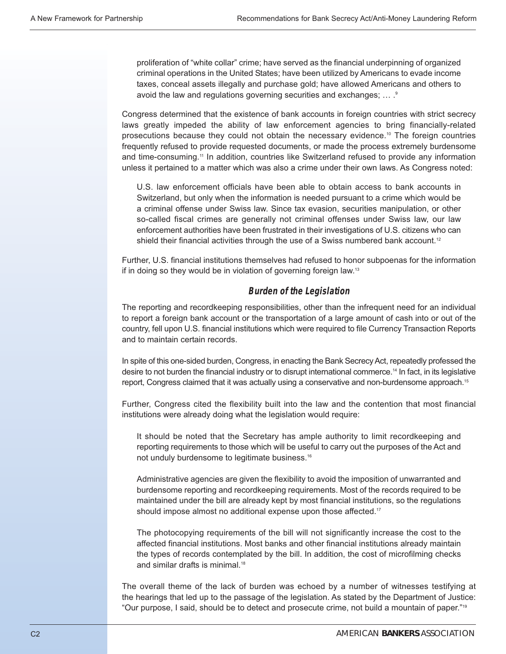proliferation of "white collar" crime; have served as the financial underpinning of organized criminal operations in the United States; have been utilized by Americans to evade income taxes, conceal assets illegally and purchase gold; have allowed Americans and others to avoid the law and regulations governing securities and exchanges; ... . 9

Congress determined that the existence of bank accounts in foreign countries with strict secrecy laws greatly impeded the ability of law enforcement agencies to bring financially-related prosecutions because they could not obtain the necessary evidence.10 The foreign countries frequently refused to provide requested documents, or made the process extremely burdensome and time-consuming.<sup>11</sup> In addition, countries like Switzerland refused to provide any information unless it pertained to a matter which was also a crime under their own laws. As Congress noted:

U.S. law enforcement officials have been able to obtain access to bank accounts in Switzerland, but only when the information is needed pursuant to a crime which would be a criminal offense under Swiss law. Since tax evasion, securities manipulation, or other so-called fiscal crimes are generally not criminal offenses under Swiss law, our law enforcement authorities have been frustrated in their investigations of U.S. citizens who can shield their financial activities through the use of a Swiss numbered bank account.<sup>12</sup>

Further, U.S. financial institutions themselves had refused to honor subpoenas for the information if in doing so they would be in violation of governing foreign law.13

## **Burden of the Legislation**

The reporting and recordkeeping responsibilities, other than the infrequent need for an individual to report a foreign bank account or the transportation of a large amount of cash into or out of the country, fell upon U.S. financial institutions which were required to file Currency Transaction Reports and to maintain certain records.

In spite of this one-sided burden, Congress, in enacting the Bank Secrecy Act, repeatedly professed the desire to not burden the financial industry or to disrupt international commerce.<sup>14</sup> In fact, in its legislative report, Congress claimed that it was actually using a conservative and non-burdensome approach.<sup>15</sup>

Further, Congress cited the flexibility built into the law and the contention that most financial institutions were already doing what the legislation would require:

It should be noted that the Secretary has ample authority to limit recordkeeping and reporting requirements to those which will be useful to carry out the purposes of the Act and not unduly burdensome to legitimate business.16

Administrative agencies are given the flexibility to avoid the imposition of unwarranted and burdensome reporting and recordkeeping requirements. Most of the records required to be maintained under the bill are already kept by most financial institutions, so the regulations should impose almost no additional expense upon those affected.<sup>17</sup>

The photocopying requirements of the bill will not significantly increase the cost to the affected financial institutions. Most banks and other financial institutions already maintain the types of records contemplated by the bill. In addition, the cost of microfilming checks and similar drafts is minimal.18

The overall theme of the lack of burden was echoed by a number of witnesses testifying at the hearings that led up to the passage of the legislation. As stated by the Department of Justice: "Our purpose, I said, should be to detect and prosecute crime, not build a mountain of paper."19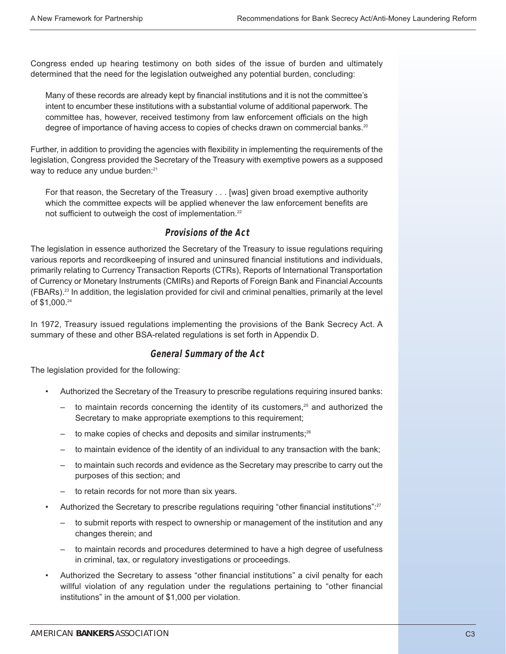Congress ended up hearing testimony on both sides of the issue of burden and ultimately determined that the need for the legislation outweighed any potential burden, concluding:

Many of these records are already kept by financial institutions and it is not the committee's intent to encumber these institutions with a substantial volume of additional paperwork. The committee has, however, received testimony from law enforcement officials on the high degree of importance of having access to copies of checks drawn on commercial banks.<sup>20</sup>

Further, in addition to providing the agencies with flexibility in implementing the requirements of the legislation, Congress provided the Secretary of the Treasury with exemptive powers as a supposed way to reduce any undue burden:<sup>21</sup>

For that reason, the Secretary of the Treasury . . . [was] given broad exemptive authority which the committee expects will be applied whenever the law enforcement benefits are not sufficient to outweigh the cost of implementation.<sup>22</sup>

#### **Provisions of the Act**

The legislation in essence authorized the Secretary of the Treasury to issue regulations requiring various reports and recordkeeping of insured and uninsured financial institutions and individuals, primarily relating to Currency Transaction Reports (CTRs), Reports of International Transportation of Currency or Monetary Instruments (CMIRs) and Reports of Foreign Bank and Financial Accounts (FBARs).23 In addition, the legislation provided for civil and criminal penalties, primarily at the level of \$1,000.24

In 1972, Treasury issued regulations implementing the provisions of the Bank Secrecy Act. A summary of these and other BSA-related regulations is set forth in Appendix D.

#### **General Summary of the Act**

The legislation provided for the following:

- Authorized the Secretary of the Treasury to prescribe regulations requiring insured banks:
	- to maintain records concerning the identity of its customers, $25$  and authorized the Secretary to make appropriate exemptions to this requirement;
	- to make copies of checks and deposits and similar instruments;<sup>26</sup>
	- to maintain evidence of the identity of an individual to any transaction with the bank;
	- to maintain such records and evidence as the Secretary may prescribe to carry out the purposes of this section; and
	- to retain records for not more than six years.
- Authorized the Secretary to prescribe regulations requiring "other financial institutions":<sup>27</sup>
	- to submit reports with respect to ownership or management of the institution and any changes therein; and
	- to maintain records and procedures determined to have a high degree of usefulness in criminal, tax, or regulatory investigations or proceedings.
- Authorized the Secretary to assess "other financial institutions" a civil penalty for each willful violation of any regulation under the regulations pertaining to "other financial institutions" in the amount of \$1,000 per violation.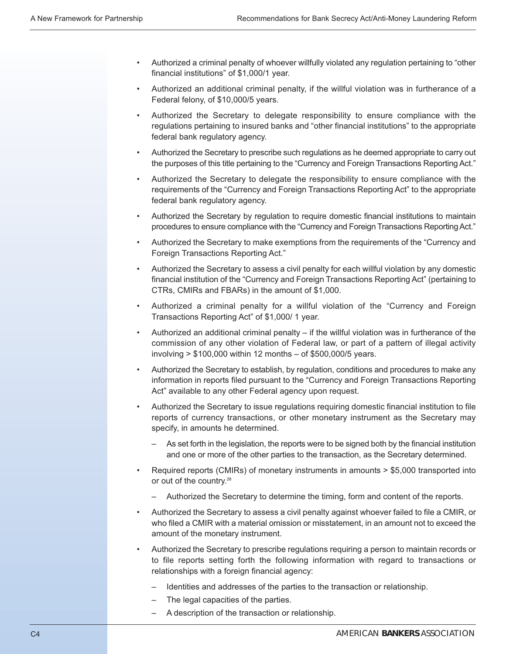- Authorized a criminal penalty of whoever willfully violated any regulation pertaining to "other financial institutions" of \$1,000/1 year.
- Authorized an additional criminal penalty, if the willful violation was in furtherance of a Federal felony, of \$10,000/5 years.
- Authorized the Secretary to delegate responsibility to ensure compliance with the regulations pertaining to insured banks and "other financial institutions" to the appropriate federal bank regulatory agency.
- Authorized the Secretary to prescribe such regulations as he deemed appropriate to carry out the purposes of this title pertaining to the "Currency and Foreign Transactions Reporting Act."
- Authorized the Secretary to delegate the responsibility to ensure compliance with the requirements of the "Currency and Foreign Transactions Reporting Act" to the appropriate federal bank regulatory agency.
- Authorized the Secretary by regulation to require domestic financial institutions to maintain procedures to ensure compliance with the "Currency and Foreign Transactions Reporting Act."
- Authorized the Secretary to make exemptions from the requirements of the "Currency and Foreign Transactions Reporting Act."
- Authorized the Secretary to assess a civil penalty for each willful violation by any domestic financial institution of the "Currency and Foreign Transactions Reporting Act" (pertaining to CTRs, CMIRs and FBARs) in the amount of \$1,000.
- Authorized a criminal penalty for a willful violation of the "Currency and Foreign Transactions Reporting Act" of \$1,000/ 1 year.
- Authorized an additional criminal penalty if the willful violation was in furtherance of the commission of any other violation of Federal law, or part of a pattern of illegal activity involving > \$100,000 within 12 months – of \$500,000/5 years.
- Authorized the Secretary to establish, by regulation, conditions and procedures to make any information in reports filed pursuant to the "Currency and Foreign Transactions Reporting Act" available to any other Federal agency upon request.
- Authorized the Secretary to issue regulations requiring domestic financial institution to file reports of currency transactions, or other monetary instrument as the Secretary may specify, in amounts he determined.
	- As set forth in the legislation, the reports were to be signed both by the financial institution and one or more of the other parties to the transaction, as the Secretary determined.
- Required reports (CMIRs) of monetary instruments in amounts > \$5,000 transported into or out of the country.<sup>28</sup>
	- Authorized the Secretary to determine the timing, form and content of the reports.
- Authorized the Secretary to assess a civil penalty against whoever failed to file a CMIR, or who filed a CMIR with a material omission or misstatement, in an amount not to exceed the amount of the monetary instrument.
- Authorized the Secretary to prescribe regulations requiring a person to maintain records or to file reports setting forth the following information with regard to transactions or relationships with a foreign financial agency:
	- Identities and addresses of the parties to the transaction or relationship.
	- The legal capacities of the parties.
	- A description of the transaction or relationship.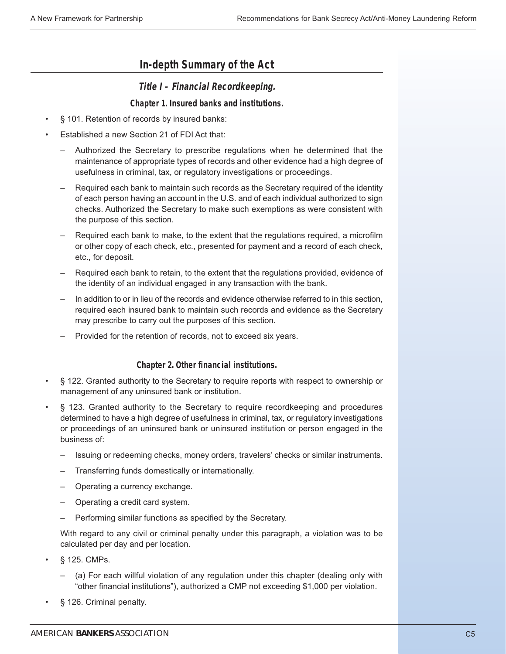# **In-depth Summary of the Act**

## **Title I – Financial Recordkeeping.**

#### **Chapter 1. Insured banks and institutions.**

- § 101. Retention of records by insured banks:
- Established a new Section 21 of FDI Act that:
	- Authorized the Secretary to prescribe regulations when he determined that the maintenance of appropriate types of records and other evidence had a high degree of usefulness in criminal, tax, or regulatory investigations or proceedings.
	- Required each bank to maintain such records as the Secretary required of the identity of each person having an account in the U.S. and of each individual authorized to sign checks. Authorized the Secretary to make such exemptions as were consistent with the purpose of this section.
	- Required each bank to make, to the extent that the regulations required, a microfilm or other copy of each check, etc., presented for payment and a record of each check, etc., for deposit.
	- Required each bank to retain, to the extent that the regulations provided, evidence of the identity of an individual engaged in any transaction with the bank.
	- In addition to or in lieu of the records and evidence otherwise referred to in this section, required each insured bank to maintain such records and evidence as the Secretary may prescribe to carry out the purposes of this section.
	- Provided for the retention of records, not to exceed six years.

#### **Chapter 2. Other financial institutions.**

- § 122. Granted authority to the Secretary to require reports with respect to ownership or management of any uninsured bank or institution.
- § 123. Granted authority to the Secretary to require recordkeeping and procedures determined to have a high degree of usefulness in criminal, tax, or regulatory investigations or proceedings of an uninsured bank or uninsured institution or person engaged in the business of:
	- Issuing or redeeming checks, money orders, travelers' checks or similar instruments.
	- Transferring funds domestically or internationally.
	- Operating a currency exchange.
	- Operating a credit card system.
	- Performing similar functions as specified by the Secretary.

With regard to any civil or criminal penalty under this paragraph, a violation was to be calculated per day and per location.

- § 125. CMPs.
	- (a) For each willful violation of any regulation under this chapter (dealing only with "other financial institutions"), authorized a CMP not exceeding \$1,000 per violation.
- § 126. Criminal penalty.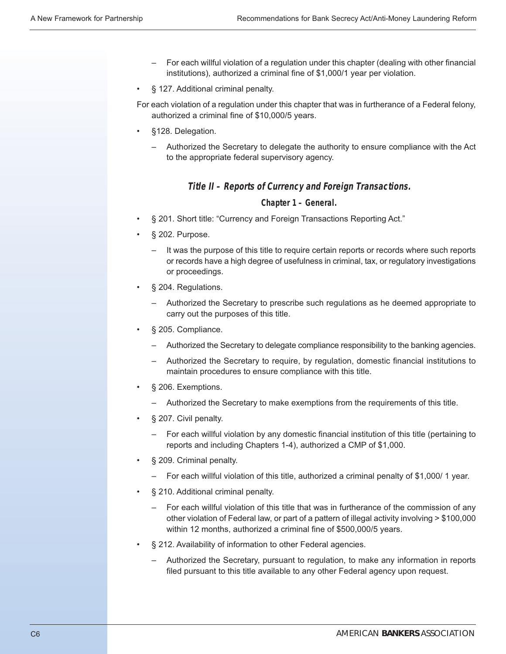- For each willful violation of a regulation under this chapter (dealing with other financial institutions), authorized a criminal fine of \$1,000/1 year per violation.
- § 127. Additional criminal penalty.
- For each violation of a regulation under this chapter that was in furtherance of a Federal felony, authorized a criminal fine of \$10,000/5 years.
- §128. Delegation.
	- Authorized the Secretary to delegate the authority to ensure compliance with the Act to the appropriate federal supervisory agency.

#### **Title II – Reports of Currency and Foreign Transactions.**

#### **Chapter 1 – General.**

- § 201. Short title: "Currency and Foreign Transactions Reporting Act."
- § 202. Purpose.
	- It was the purpose of this title to require certain reports or records where such reports or records have a high degree of usefulness in criminal, tax, or regulatory investigations or proceedings.
- § 204. Regulations.
	- Authorized the Secretary to prescribe such regulations as he deemed appropriate to carry out the purposes of this title.
- § 205. Compliance.
	- Authorized the Secretary to delegate compliance responsibility to the banking agencies.
	- Authorized the Secretary to require, by regulation, domestic financial institutions to maintain procedures to ensure compliance with this title.
- § 206. Exemptions.
	- Authorized the Secretary to make exemptions from the requirements of this title.
- § 207. Civil penalty.
	- For each willful violation by any domestic financial institution of this title (pertaining to reports and including Chapters 1-4), authorized a CMP of \$1,000.
- § 209. Criminal penalty.
	- For each willful violation of this title, authorized a criminal penalty of \$1,000/ 1 year.
- § 210. Additional criminal penalty.
	- For each willful violation of this title that was in furtherance of the commission of any other violation of Federal law, or part of a pattern of illegal activity involving > \$100,000 within 12 months, authorized a criminal fine of \$500,000/5 years.
- § 212. Availability of information to other Federal agencies.
	- Authorized the Secretary, pursuant to regulation, to make any information in reports filed pursuant to this title available to any other Federal agency upon request.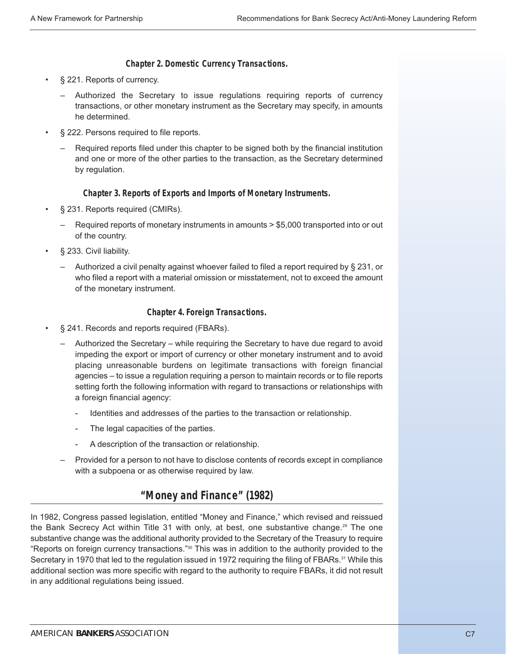#### **Chapter 2. Domestic Currency Transactions.**

- § 221. Reports of currency.
	- Authorized the Secretary to issue regulations requiring reports of currency transactions, or other monetary instrument as the Secretary may specify, in amounts he determined.
- § 222. Persons required to file reports.
	- Required reports filed under this chapter to be signed both by the financial institution and one or more of the other parties to the transaction, as the Secretary determined by regulation.

#### **Chapter 3. Reports of Exports and Imports of Monetary Instruments.**

- § 231. Reports required (CMIRs).
	- Required reports of monetary instruments in amounts > \$5,000 transported into or out of the country.
- § 233. Civil liability.
	- Authorized a civil penalty against whoever failed to filed a report required by § 231, or who filed a report with a material omission or misstatement, not to exceed the amount of the monetary instrument.

#### **Chapter 4. Foreign Transactions.**

- § 241. Records and reports required (FBARs).
	- Authorized the Secretary while requiring the Secretary to have due regard to avoid impeding the export or import of currency or other monetary instrument and to avoid placing unreasonable burdens on legitimate transactions with foreign financial agencies – to issue a regulation requiring a person to maintain records or to file reports setting forth the following information with regard to transactions or relationships with a foreign financial agency:
		- Identities and addresses of the parties to the transaction or relationship.
		- The legal capacities of the parties.
		- A description of the transaction or relationship.
	- Provided for a person to not have to disclose contents of records except in compliance with a subpoena or as otherwise required by law.

# **"Money and Finance" (1982)**

In 1982, Congress passed legislation, entitled "Money and Finance," which revised and reissued the Bank Secrecy Act within Title 31 with only, at best, one substantive change.<sup>29</sup> The one substantive change was the additional authority provided to the Secretary of the Treasury to require "Reports on foreign currency transactions."30 This was in addition to the authority provided to the Secretary in 1970 that led to the regulation issued in 1972 requiring the filing of FBARs.<sup>31</sup> While this additional section was more specific with regard to the authority to require FBARs, it did not result in any additional regulations being issued.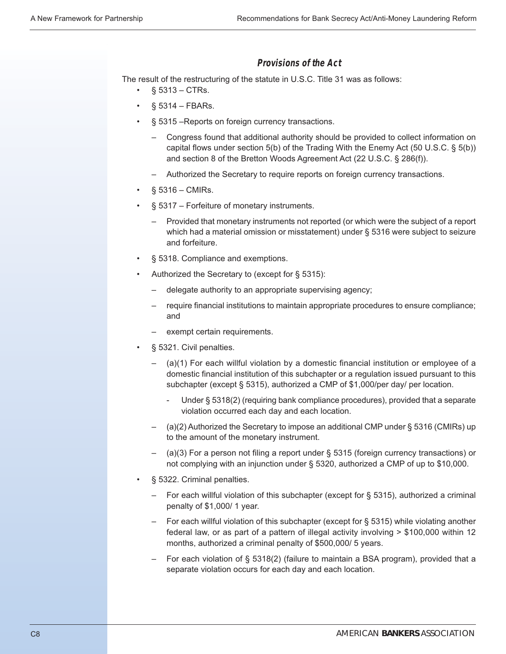## **Provisions of the Act**

The result of the restructuring of the statute in U.S.C. Title 31 was as follows:

- $§ 5313 CTRs.$
- § 5314 FBARs.
- § 5315 –Reports on foreign currency transactions.
	- Congress found that additional authority should be provided to collect information on capital flows under section 5(b) of the Trading With the Enemy Act (50 U.S.C. § 5(b)) and section 8 of the Bretton Woods Agreement Act (22 U.S.C. § 286(f)).
	- Authorized the Secretary to require reports on foreign currency transactions.
- § 5316 CMIRs.
- § 5317 Forfeiture of monetary instruments.
	- Provided that monetary instruments not reported (or which were the subject of a report which had a material omission or misstatement) under § 5316 were subject to seizure and forfeiture.
- § 5318. Compliance and exemptions.
- Authorized the Secretary to (except for § 5315):
	- delegate authority to an appropriate supervising agency;
	- require financial institutions to maintain appropriate procedures to ensure compliance; and
	- exempt certain requirements.
- § 5321. Civil penalties.
	- (a)(1) For each willful violation by a domestic financial institution or employee of a domestic financial institution of this subchapter or a regulation issued pursuant to this subchapter (except § 5315), authorized a CMP of \$1,000/per day/ per location.
		- Under § 5318(2) (requiring bank compliance procedures), provided that a separate violation occurred each day and each location.
	- (a)(2) Authorized the Secretary to impose an additional CMP under § 5316 (CMIRs) up to the amount of the monetary instrument.
	- (a)(3) For a person not filing a report under § 5315 (foreign currency transactions) or not complying with an injunction under § 5320, authorized a CMP of up to \$10,000.
- § 5322. Criminal penalties.
	- For each willful violation of this subchapter (except for § 5315), authorized a criminal penalty of \$1,000/ 1 year.
	- For each willful violation of this subchapter (except for § 5315) while violating another federal law, or as part of a pattern of illegal activity involving > \$100,000 within 12 months, authorized a criminal penalty of \$500,000/ 5 years.
	- For each violation of § 5318(2) (failure to maintain a BSA program), provided that a separate violation occurs for each day and each location.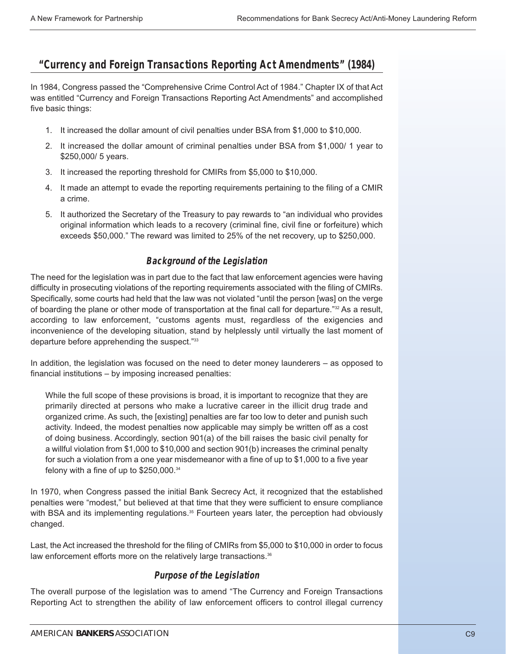# **"Currency and Foreign Transactions Reporting Act Amendments" (1984)**

In 1984, Congress passed the "Comprehensive Crime Control Act of 1984." Chapter IX of that Act was entitled "Currency and Foreign Transactions Reporting Act Amendments" and accomplished five basic things:

- 1. It increased the dollar amount of civil penalties under BSA from \$1,000 to \$10,000.
- 2. It increased the dollar amount of criminal penalties under BSA from \$1,000/ 1 year to \$250,000/ 5 years.
- 3. It increased the reporting threshold for CMIRs from \$5,000 to \$10,000.
- 4. It made an attempt to evade the reporting requirements pertaining to the filing of a CMIR a crime.
- 5. It authorized the Secretary of the Treasury to pay rewards to "an individual who provides original information which leads to a recovery (criminal fine, civil fine or forfeiture) which exceeds \$50,000." The reward was limited to 25% of the net recovery, up to \$250,000.

## **Background of the Legislation**

The need for the legislation was in part due to the fact that law enforcement agencies were having difficulty in prosecuting violations of the reporting requirements associated with the filing of CMIRs. Specifically, some courts had held that the law was not violated "until the person [was] on the verge of boarding the plane or other mode of transportation at the final call for departure."<sup>32</sup> As a result, according to law enforcement, "customs agents must, regardless of the exigencies and inconvenience of the developing situation, stand by helplessly until virtually the last moment of departure before apprehending the suspect."33

In addition, the legislation was focused on the need to deter money launderers – as opposed to financial institutions – by imposing increased penalties:

While the full scope of these provisions is broad, it is important to recognize that they are primarily directed at persons who make a lucrative career in the illicit drug trade and organized crime. As such, the [existing] penalties are far too low to deter and punish such activity. Indeed, the modest penalties now applicable may simply be written off as a cost of doing business. Accordingly, section 901(a) of the bill raises the basic civil penalty for a willful violation from \$1,000 to \$10,000 and section 901(b) increases the criminal penalty for such a violation from a one year misdemeanor with a fine of up to \$1,000 to a five year felony with a fine of up to \$250,000.34

In 1970, when Congress passed the initial Bank Secrecy Act, it recognized that the established penalties were "modest," but believed at that time that they were sufficient to ensure compliance with BSA and its implementing regulations.<sup>35</sup> Fourteen years later, the perception had obviously changed.

Last, the Act increased the threshold for the filing of CMIRs from \$5,000 to \$10,000 in order to focus law enforcement efforts more on the relatively large transactions.<sup>36</sup>

## **Purpose of the Legislation**

The overall purpose of the legislation was to amend "The Currency and Foreign Transactions Reporting Act to strengthen the ability of law enforcement officers to control illegal currency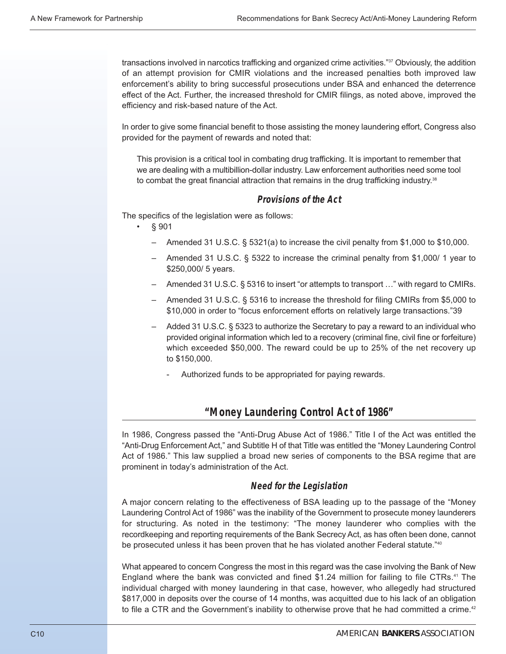transactions involved in narcotics trafficking and organized crime activities."37 Obviously, the addition of an attempt provision for CMIR violations and the increased penalties both improved law enforcement's ability to bring successful prosecutions under BSA and enhanced the deterrence effect of the Act. Further, the increased threshold for CMIR filings, as noted above, improved the efficiency and risk-based nature of the Act.

In order to give some financial benefit to those assisting the money laundering effort, Congress also provided for the payment of rewards and noted that:

This provision is a critical tool in combating drug trafficking. It is important to remember that we are dealing with a multibillion-dollar industry. Law enforcement authorities need some tool to combat the great financial attraction that remains in the drug trafficking industry.<sup>38</sup>

#### **Provisions of the Act**

The specifics of the legislation were as follows:

- § 901
	- Amended 31 U.S.C. § 5321(a) to increase the civil penalty from \$1,000 to \$10,000.
	- Amended 31 U.S.C. § 5322 to increase the criminal penalty from \$1,000/ 1 year to \$250,000/ 5 years.
	- Amended 31 U.S.C. § 5316 to insert "or attempts to transport …" with regard to CMIRs.
	- Amended 31 U.S.C. § 5316 to increase the threshold for filing CMIRs from \$5,000 to \$10,000 in order to "focus enforcement efforts on relatively large transactions."39
	- Added 31 U.S.C. § 5323 to authorize the Secretary to pay a reward to an individual who provided original information which led to a recovery (criminal fine, civil fine or forfeiture) which exceeded \$50,000. The reward could be up to 25% of the net recovery up to \$150,000.
		- Authorized funds to be appropriated for paying rewards.

# **"Money Laundering Control Act of 1986"**

In 1986, Congress passed the "Anti-Drug Abuse Act of 1986." Title I of the Act was entitled the "Anti-Drug Enforcement Act," and Subtitle H of that Title was entitled the "Money Laundering Control Act of 1986." This law supplied a broad new series of components to the BSA regime that are prominent in today's administration of the Act.

## **Need for the Legislation**

A major concern relating to the effectiveness of BSA leading up to the passage of the "Money Laundering Control Act of 1986" was the inability of the Government to prosecute money launderers for structuring. As noted in the testimony: "The money launderer who complies with the recordkeeping and reporting requirements of the Bank Secrecy Act, as has often been done, cannot be prosecuted unless it has been proven that he has violated another Federal statute."<sup>40</sup>

What appeared to concern Congress the most in this regard was the case involving the Bank of New England where the bank was convicted and fined \$1.24 million for failing to file CTRs.<sup>41</sup> The individual charged with money laundering in that case, however, who allegedly had structured \$817,000 in deposits over the course of 14 months, was acquitted due to his lack of an obligation to file a CTR and the Government's inability to otherwise prove that he had committed a crime.<sup>42</sup>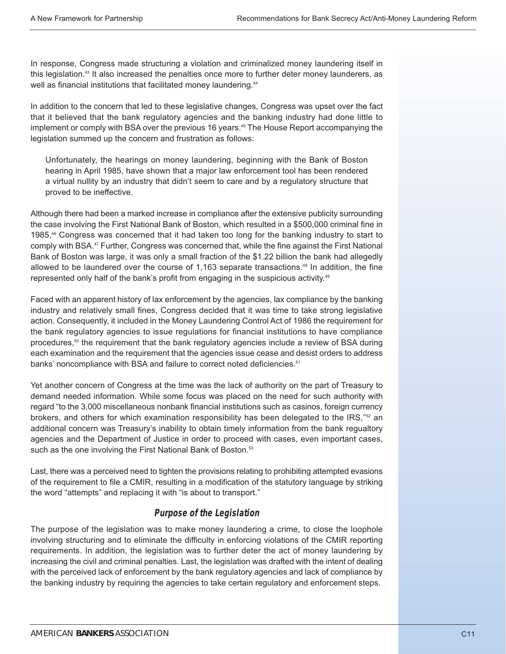In response, Congress made structuring a violation and criminalized money laundering itself in this legislation.43 It also increased the penalties once more to further deter money launderers, as well as financial institutions that facilitated money laundering.<sup>44</sup>

In addition to the concern that led to these legislative changes, Congress was upset over the fact that it believed that the bank regulatory agencies and the banking industry had done little to implement or comply with BSA over the previous 16 years.<sup>45</sup> The House Report accompanying the legislation summed up the concern and frustration as follows:

Unfortunately, the hearings on money laundering, beginning with the Bank of Boston hearing in April 1985, have shown that a major law enforcement tool has been rendered a virtual nullity by an industry that didn't seem to care and by a regulatory structure that proved to be ineffective.

Although there had been a marked increase in compliance after the extensive publicity surrounding the case involving the First National Bank of Boston, which resulted in a \$500,000 criminal fine in 1985,<sup>46</sup> Congress was concerned that it had taken too long for the banking industry to start to comply with BSA.47 Further, Congress was concerned that, while the fine against the First National Bank of Boston was large, it was only a small fraction of the \$1.22 billion the bank had allegedly allowed to be laundered over the course of  $1,163$  separate transactions.<sup>48</sup> In addition, the fine represented only half of the bank's profit from engaging in the suspicious activity.<sup>49</sup>

Faced with an apparent history of lax enforcement by the agencies, lax compliance by the banking industry and relatively small fines, Congress decided that it was time to take strong legislative action. Consequently, it included in the Money Laundering Control Act of 1986 the requirement for the bank regulatory agencies to issue regulations for financial institutions to have compliance procedures,<sup>50</sup> the requirement that the bank regulatory agencies include a review of BSA during each examination and the requirement that the agencies issue cease and desist orders to address banks' noncompliance with BSA and failure to correct noted deficiencies.<sup>51</sup>

Yet another concern of Congress at the time was the lack of authority on the part of Treasury to demand needed information. While some focus was placed on the need for such authority with regard "to the 3,000 miscellaneous nonbank financial institutions such as casinos, foreign currency brokers, and others for which examination responsibility has been delegated to the  $\text{IRS},\text{""2}$  an additional concern was Treasury's inability to obtain timely information from the bank regualtory agencies and the Department of Justice in order to proceed with cases, even important cases, such as the one involving the First National Bank of Boston.<sup>53</sup>

Last, there was a perceived need to tighten the provisions relating to prohibiting attempted evasions of the requirement to file a CMIR, resulting in a modification of the statutory language by striking the word "attempts" and replacing it with "is about to transport."

## **Purpose of the Legislation**

The purpose of the legislation was to make money laundering a crime, to close the loophole involving structuring and to eliminate the difficulty in enforcing violations of the CMIR reporting requirements. In addition, the legislation was to further deter the act of money laundering by increasing the civil and criminal penalties. Last, the legislation was drafted with the intent of dealing with the perceived lack of enforcement by the bank regulatory agencies and lack of compliance by the banking industry by requiring the agencies to take certain regulatory and enforcement steps.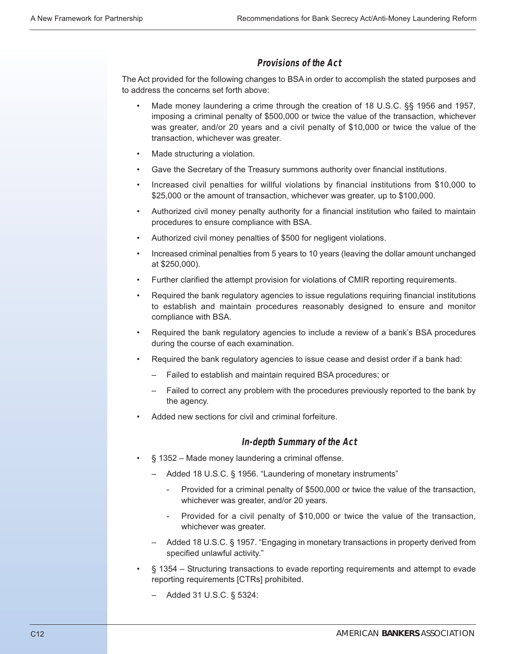#### **Provisions of the Act**

The Act provided for the following changes to BSA in order to accomplish the stated purposes and to address the concerns set forth above:

- Made money laundering a crime through the creation of 18 U.S.C. §§ 1956 and 1957, imposing a criminal penalty of \$500,000 or twice the value of the transaction, whichever was greater, and/or 20 years and a civil penalty of \$10,000 or twice the value of the transaction, whichever was greater.
- Made structuring a violation.
- Gave the Secretary of the Treasury summons authority over financial institutions.
- Increased civil penalties for willful violations by financial institutions from \$10,000 to \$25,000 or the amount of transaction, whichever was greater, up to \$100,000.
- Authorized civil money penalty authority for a financial institution who failed to maintain procedures to ensure compliance with BSA.
- Authorized civil money penalties of \$500 for negligent violations.
- Increased criminal penalties from 5 years to 10 years (leaving the dollar amount unchanged at \$250,000).
- Further clarified the attempt provision for violations of CMIR reporting requirements.
- Required the bank regulatory agencies to issue regulations requiring financial institutions to establish and maintain procedures reasonably designed to ensure and monitor compliance with BSA.
- Required the bank regulatory agencies to include a review of a bank's BSA procedures during the course of each examination.
- Required the bank regulatory agencies to issue cease and desist order if a bank had:
	- Failed to establish and maintain required BSA procedures; or
	- Failed to correct any problem with the procedures previously reported to the bank by the agency.
- Added new sections for civil and criminal forfeiture.

#### **In-depth Summary of the Act**

- § 1352 Made money laundering a criminal offense.
	- Added 18 U.S.C. § 1956. "Laundering of monetary instruments"
		- Provided for a criminal penalty of \$500,000 or twice the value of the transaction, whichever was greater, and/or 20 years.
		- Provided for a civil penalty of \$10,000 or twice the value of the transaction, whichever was greater.
	- Added 18 U.S.C. § 1957. "Engaging in monetary transactions in property derived from specified unlawful activity."
- § 1354 Structuring transactions to evade reporting requirements and attempt to evade reporting requirements [CTRs] prohibited.
	- Added 31 U.S.C. § 5324: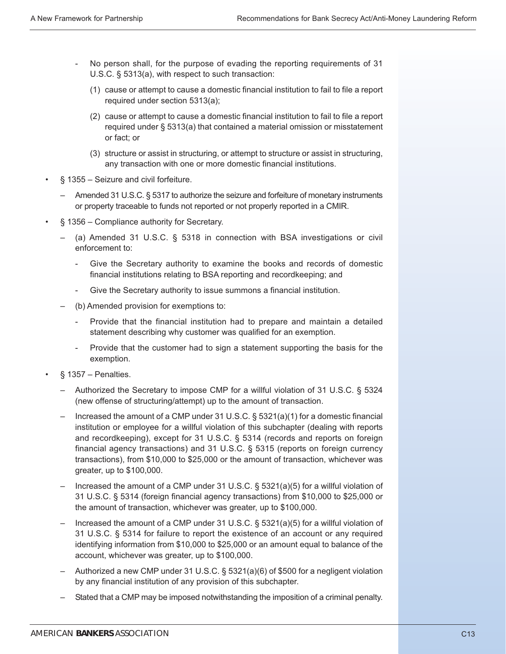- No person shall, for the purpose of evading the reporting requirements of 31 U.S.C. § 5313(a), with respect to such transaction:
	- (1) cause or attempt to cause a domestic financial institution to fail to file a report required under section 5313(a);
	- (2) cause or attempt to cause a domestic financial institution to fail to file a report required under § 5313(a) that contained a material omission or misstatement or fact; or
	- (3) structure or assist in structuring, or attempt to structure or assist in structuring, any transaction with one or more domestic financial institutions.
- § 1355 Seizure and civil forfeiture.
	- Amended 31 U.S.C. § 5317 to authorize the seizure and forfeiture of monetary instruments or property traceable to funds not reported or not properly reported in a CMIR.
- § 1356 Compliance authority for Secretary.
	- (a) Amended 31 U.S.C. § 5318 in connection with BSA investigations or civil enforcement to:
		- Give the Secretary authority to examine the books and records of domestic financial institutions relating to BSA reporting and recordkeeping; and
		- Give the Secretary authority to issue summons a financial institution.
	- (b) Amended provision for exemptions to:
		- Provide that the financial institution had to prepare and maintain a detailed statement describing why customer was qualified for an exemption.
		- Provide that the customer had to sign a statement supporting the basis for the exemption.
- $§ 1357 Penalties.$ 
	- Authorized the Secretary to impose CMP for a willful violation of 31 U.S.C. § 5324 (new offense of structuring/attempt) up to the amount of transaction.
	- Increased the amount of a CMP under 31 U.S.C.  $\S$  5321(a)(1) for a domestic financial institution or employee for a willful violation of this subchapter (dealing with reports and recordkeeping), except for 31 U.S.C. § 5314 (records and reports on foreign financial agency transactions) and 31 U.S.C. § 5315 (reports on foreign currency transactions), from \$10,000 to \$25,000 or the amount of transaction, whichever was greater, up to \$100,000.
	- Increased the amount of a CMP under 31 U.S.C. § 5321(a)(5) for a willful violation of 31 U.S.C. § 5314 (foreign financial agency transactions) from \$10,000 to \$25,000 or the amount of transaction, whichever was greater, up to \$100,000.
	- Increased the amount of a CMP under 31 U.S.C. § 5321(a)(5) for a willful violation of 31 U.S.C. § 5314 for failure to report the existence of an account or any required identifying information from \$10,000 to \$25,000 or an amount equal to balance of the account, whichever was greater, up to \$100,000.
	- Authorized a new CMP under 31 U.S.C. § 5321(a)(6) of \$500 for a negligent violation by any financial institution of any provision of this subchapter.
	- Stated that a CMP may be imposed notwithstanding the imposition of a criminal penalty.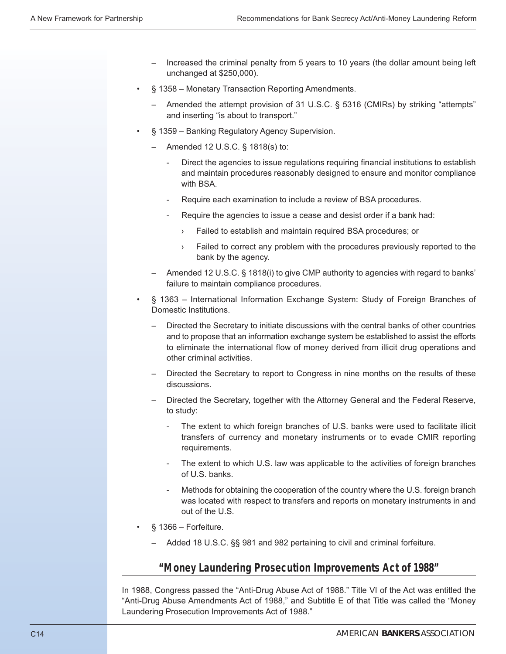- Increased the criminal penalty from 5 years to 10 years (the dollar amount being left unchanged at \$250,000).
- § 1358 Monetary Transaction Reporting Amendments.
	- Amended the attempt provision of 31 U.S.C. § 5316 (CMIRs) by striking "attempts" and inserting "is about to transport."
- § 1359 Banking Regulatory Agency Supervision.
	- Amended 12 U.S.C. § 1818(s) to:
		- Direct the agencies to issue regulations requiring financial institutions to establish and maintain procedures reasonably designed to ensure and monitor compliance with BSA.
		- Require each examination to include a review of BSA procedures.
		- Require the agencies to issue a cease and desist order if a bank had:
			- Failed to establish and maintain required BSA procedures; or
			- › Failed to correct any problem with the procedures previously reported to the bank by the agency.
	- Amended 12 U.S.C. § 1818(i) to give CMP authority to agencies with regard to banks' failure to maintain compliance procedures.
- § 1363 International Information Exchange System: Study of Foreign Branches of Domestic Institutions.
	- Directed the Secretary to initiate discussions with the central banks of other countries and to propose that an information exchange system be established to assist the efforts to eliminate the international flow of money derived from illicit drug operations and other criminal activities.
	- Directed the Secretary to report to Congress in nine months on the results of these discussions.
	- Directed the Secretary, together with the Attorney General and the Federal Reserve, to study:
		- The extent to which foreign branches of U.S. banks were used to facilitate illicit transfers of currency and monetary instruments or to evade CMIR reporting requirements.
		- The extent to which U.S. law was applicable to the activities of foreign branches of U.S. banks.
		- Methods for obtaining the cooperation of the country where the U.S. foreign branch was located with respect to transfers and reports on monetary instruments in and out of the U.S.
- $§$  1366 Forfeiture.
	- Added 18 U.S.C. §§ 981 and 982 pertaining to civil and criminal forfeiture.

## **"Money Laundering Prosecution Improvements Act of 1988"**

In 1988, Congress passed the "Anti-Drug Abuse Act of 1988." Title VI of the Act was entitled the "Anti-Drug Abuse Amendments Act of 1988," and Subtitle E of that Title was called the "Money Laundering Prosecution Improvements Act of 1988."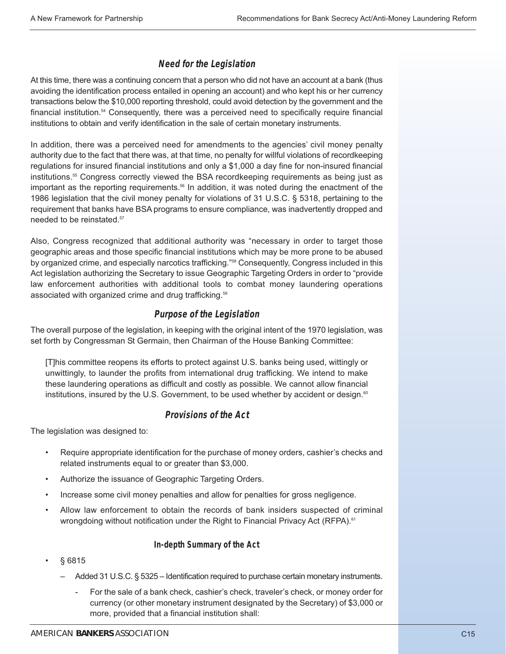## **Need for the Legislation**

At this time, there was a continuing concern that a person who did not have an account at a bank (thus avoiding the identification process entailed in opening an account) and who kept his or her currency transactions below the \$10,000 reporting threshold, could avoid detection by the government and the financial institution.<sup>54</sup> Consequently, there was a perceived need to specifically require financial institutions to obtain and verify identification in the sale of certain monetary instruments.

In addition, there was a perceived need for amendments to the agencies' civil money penalty authority due to the fact that there was, at that time, no penalty for willful violations of recordkeeping regulations for insured financial institutions and only a \$1,000 a day fine for non-insured financial institutions.<sup>55</sup> Congress correctly viewed the BSA recordkeeping requirements as being just as important as the reporting requirements.<sup>56</sup> In addition, it was noted during the enactment of the 1986 legislation that the civil money penalty for violations of 31 U.S.C. § 5318, pertaining to the requirement that banks have BSA programs to ensure compliance, was inadvertently dropped and needed to be reinstated.<sup>57</sup>

Also, Congress recognized that additional authority was "necessary in order to target those geographic areas and those specific financial institutions which may be more prone to be abused by organized crime, and especially narcotics trafficking."<sup>58</sup> Consequently, Congress included in this Act legislation authorizing the Secretary to issue Geographic Targeting Orders in order to "provide law enforcement authorities with additional tools to combat money laundering operations associated with organized crime and drug trafficking.<sup>59</sup>

#### **Purpose of the Legislation**

The overall purpose of the legislation, in keeping with the original intent of the 1970 legislation, was set forth by Congressman St Germain, then Chairman of the House Banking Committee:

[T]his committee reopens its efforts to protect against U.S. banks being used, wittingly or unwittingly, to launder the profits from international drug trafficking. We intend to make these laundering operations as difficult and costly as possible. We cannot allow financial institutions, insured by the U.S. Government, to be used whether by accident or design.<sup>60</sup>

#### **Provisions of the Act**

The legislation was designed to:

- Require appropriate identification for the purchase of money orders, cashier's checks and related instruments equal to or greater than \$3,000.
- Authorize the issuance of Geographic Targeting Orders.
- Increase some civil money penalties and allow for penalties for gross negligence.
- Allow law enforcement to obtain the records of bank insiders suspected of criminal wrongdoing without notification under the Right to Financial Privacy Act (RFPA).<sup>61</sup>

#### **In-depth Summary of the Act**

- § 6815
	- Added 31 U.S.C. § 5325 Identification required to purchase certain monetary instruments.
		- For the sale of a bank check, cashier's check, traveler's check, or money order for currency (or other monetary instrument designated by the Secretary) of \$3,000 or more, provided that a financial institution shall: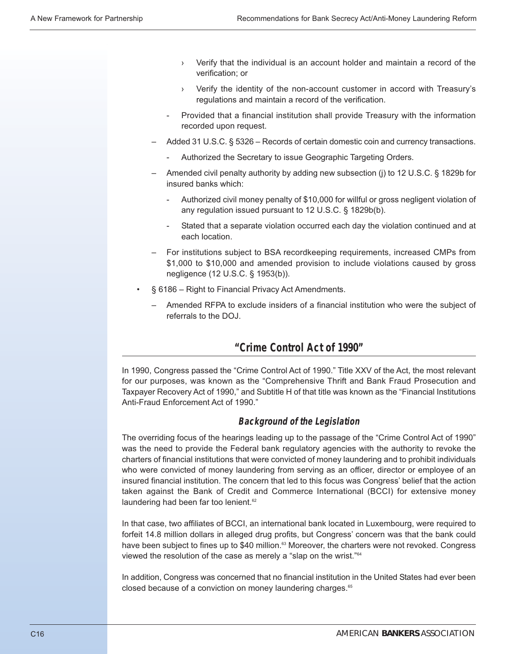- Verify that the individual is an account holder and maintain a record of the verification; or
- › Verify the identity of the non-account customer in accord with Treasury's regulations and maintain a record of the verification.
- Provided that a financial institution shall provide Treasury with the information recorded upon request.
- Added 31 U.S.C. § 5326 Records of certain domestic coin and currency transactions.
	- Authorized the Secretary to issue Geographic Targeting Orders.
- Amended civil penalty authority by adding new subsection (j) to 12 U.S.C. § 1829b for insured banks which:
	- Authorized civil money penalty of \$10,000 for willful or gross negligent violation of any regulation issued pursuant to 12 U.S.C. § 1829b(b).
	- Stated that a separate violation occurred each day the violation continued and at each location.
- For institutions subject to BSA recordkeeping requirements, increased CMPs from \$1,000 to \$10,000 and amended provision to include violations caused by gross negligence (12 U.S.C. § 1953(b)).
- § 6186 Right to Financial Privacy Act Amendments.
	- Amended RFPA to exclude insiders of a financial institution who were the subject of referrals to the DOJ.

# **"Crime Control Act of 1990"**

In 1990, Congress passed the "Crime Control Act of 1990." Title XXV of the Act, the most relevant for our purposes, was known as the "Comprehensive Thrift and Bank Fraud Prosecution and Taxpayer Recovery Act of 1990," and Subtitle H of that title was known as the "Financial Institutions Anti-Fraud Enforcement Act of 1990."

#### **Background of the Legislation**

The overriding focus of the hearings leading up to the passage of the "Crime Control Act of 1990" was the need to provide the Federal bank regulatory agencies with the authority to revoke the charters of financial institutions that were convicted of money laundering and to prohibit individuals who were convicted of money laundering from serving as an officer, director or employee of an insured financial institution. The concern that led to this focus was Congress' belief that the action taken against the Bank of Credit and Commerce International (BCCI) for extensive money laundering had been far too lenient.<sup>62</sup>

In that case, two affiliates of BCCI, an international bank located in Luxembourg, were required to forfeit 14.8 million dollars in alleged drug profits, but Congress' concern was that the bank could have been subject to fines up to \$40 million.<sup>63</sup> Moreover, the charters were not revoked. Congress viewed the resolution of the case as merely a "slap on the wrist."64

In addition, Congress was concerned that no financial institution in the United States had ever been closed because of a conviction on money laundering charges.<sup>65</sup>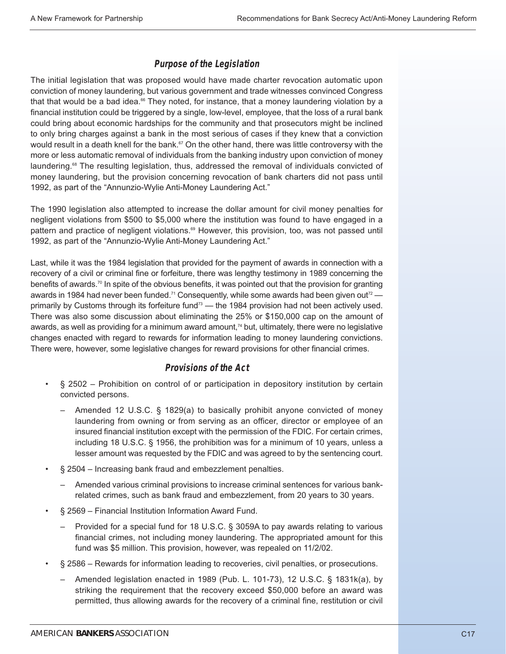## **Purpose of the Legislation**

The initial legislation that was proposed would have made charter revocation automatic upon conviction of money laundering, but various government and trade witnesses convinced Congress that that would be a bad idea. $66$  They noted, for instance, that a money laundering violation by a financial institution could be triggered by a single, low-level, employee, that the loss of a rural bank could bring about economic hardships for the community and that prosecutors might be inclined to only bring charges against a bank in the most serious of cases if they knew that a conviction would result in a death knell for the bank.<sup>67</sup> On the other hand, there was little controversy with the more or less automatic removal of individuals from the banking industry upon conviction of money laundering.<sup>68</sup> The resulting legislation, thus, addressed the removal of individuals convicted of money laundering, but the provision concerning revocation of bank charters did not pass until 1992, as part of the "Annunzio-Wylie Anti-Money Laundering Act."

The 1990 legislation also attempted to increase the dollar amount for civil money penalties for negligent violations from \$500 to \$5,000 where the institution was found to have engaged in a pattern and practice of negligent violations.<sup>69</sup> However, this provision, too, was not passed until 1992, as part of the "Annunzio-Wylie Anti-Money Laundering Act."

Last, while it was the 1984 legislation that provided for the payment of awards in connection with a recovery of a civil or criminal fine or forfeiture, there was lengthy testimony in 1989 concerning the benefits of awards.<sup>70</sup> In spite of the obvious benefits, it was pointed out that the provision for granting awards in 1984 had never been funded.<sup>71</sup> Consequently, while some awards had been given out<sup>72</sup> primarily by Customs through its forfeiture fund<sup>73</sup> — the 1984 provision had not been actively used. There was also some discussion about eliminating the 25% or \$150,000 cap on the amount of awards, as well as providing for a minimum award amount, $74$  but, ultimately, there were no legislative changes enacted with regard to rewards for information leading to money laundering convictions. There were, however, some legislative changes for reward provisions for other financial crimes.

## **Provisions of the Act**

- § 2502 Prohibition on control of or participation in depository institution by certain convicted persons.
	- Amended 12 U.S.C. § 1829(a) to basically prohibit anyone convicted of money laundering from owning or from serving as an officer, director or employee of an insured financial institution except with the permission of the FDIC. For certain crimes, including 18 U.S.C. § 1956, the prohibition was for a minimum of 10 years, unless a lesser amount was requested by the FDIC and was agreed to by the sentencing court.
- § 2504 Increasing bank fraud and embezzlement penalties.
	- Amended various criminal provisions to increase criminal sentences for various bankrelated crimes, such as bank fraud and embezzlement, from 20 years to 30 years.
- § 2569 Financial Institution Information Award Fund.
	- Provided for a special fund for 18 U.S.C. § 3059A to pay awards relating to various financial crimes, not including money laundering. The appropriated amount for this fund was \$5 million. This provision, however, was repealed on 11/2/02.
- § 2586 Rewards for information leading to recoveries, civil penalties, or prosecutions.
	- Amended legislation enacted in 1989 (Pub. L. 101-73), 12 U.S.C. § 1831k(a), by striking the requirement that the recovery exceed \$50,000 before an award was permitted, thus allowing awards for the recovery of a criminal fine, restitution or civil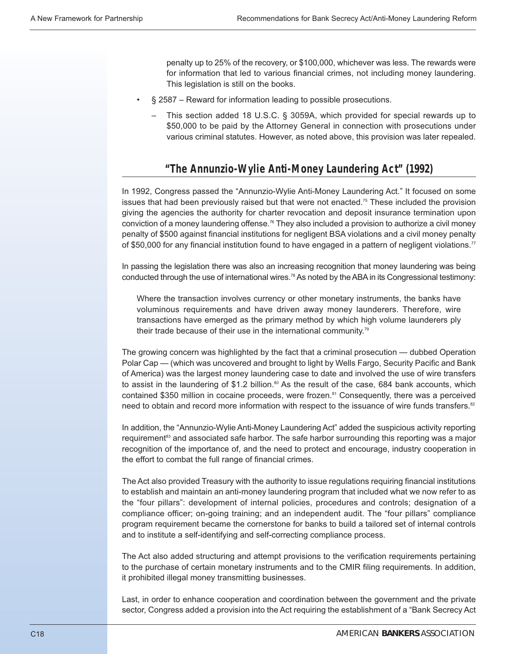penalty up to 25% of the recovery, or \$100,000, whichever was less. The rewards were for information that led to various financial crimes, not including money laundering. This legislation is still on the books.

- § 2587 Reward for information leading to possible prosecutions.
	- This section added 18 U.S.C. § 3059A, which provided for special rewards up to \$50,000 to be paid by the Attorney General in connection with prosecutions under various criminal statutes. However, as noted above, this provision was later repealed.

# **"The Annunzio-Wylie Anti-Money Laundering Act" (1992)**

In 1992, Congress passed the "Annunzio-Wylie Anti-Money Laundering Act." It focused on some issues that had been previously raised but that were not enacted.<sup>75</sup> These included the provision giving the agencies the authority for charter revocation and deposit insurance termination upon conviction of a money laundering offense.76 They also included a provision to authorize a civil money penalty of \$500 against financial institutions for negligent BSA violations and a civil money penalty of \$50,000 for any financial institution found to have engaged in a pattern of negligent violations.<sup>77</sup>

In passing the legislation there was also an increasing recognition that money laundering was being conducted through the use of international wires.<sup>78</sup> As noted by the ABA in its Congressional testimony:

Where the transaction involves currency or other monetary instruments, the banks have voluminous requirements and have driven away money launderers. Therefore, wire transactions have emerged as the primary method by which high volume launderers ply their trade because of their use in the international community.79

The growing concern was highlighted by the fact that a criminal prosecution — dubbed Operation Polar Cap — (which was uncovered and brought to light by Wells Fargo, Security Pacific and Bank of America) was the largest money laundering case to date and involved the use of wire transfers to assist in the laundering of \$1.2 billion. $80$  As the result of the case, 684 bank accounts, which contained \$350 million in cocaine proceeds, were frozen.<sup>81</sup> Consequently, there was a perceived need to obtain and record more information with respect to the issuance of wire funds transfers.<sup>82</sup>

In addition, the "Annunzio-Wylie Anti-Money Laundering Act" added the suspicious activity reporting requirement<sup>83</sup> and associated safe harbor. The safe harbor surrounding this reporting was a major recognition of the importance of, and the need to protect and encourage, industry cooperation in the effort to combat the full range of financial crimes.

The Act also provided Treasury with the authority to issue regulations requiring financial institutions to establish and maintain an anti-money laundering program that included what we now refer to as the "four pillars": development of internal policies, procedures and controls; designation of a compliance officer; on-going training; and an independent audit. The "four pillars" compliance program requirement became the cornerstone for banks to build a tailored set of internal controls and to institute a self-identifying and self-correcting compliance process.

The Act also added structuring and attempt provisions to the verification requirements pertaining to the purchase of certain monetary instruments and to the CMIR filing requirements. In addition, it prohibited illegal money transmitting businesses.

Last, in order to enhance cooperation and coordination between the government and the private sector, Congress added a provision into the Act requiring the establishment of a "Bank Secrecy Act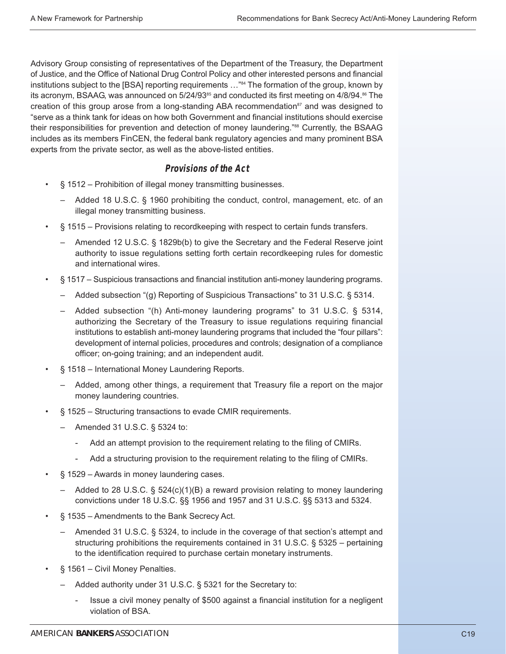Advisory Group consisting of representatives of the Department of the Treasury, the Department of Justice, and the Office of National Drug Control Policy and other interested persons and financial institutions subject to the [BSA] reporting requirements …"84 The formation of the group, known by its acronym, BSAAG, was announced on  $5/24/93^{85}$  and conducted its first meeting on  $4/8/94$ .<sup>86</sup> The creation of this group arose from a long-standing ABA recommendation<sup>87</sup> and was designed to "serve as a think tank for ideas on how both Government and financial institutions should exercise their responsibilities for prevention and detection of money laundering."<sup>88</sup> Currently, the BSAAG includes as its members FinCEN, the federal bank regulatory agencies and many prominent BSA experts from the private sector, as well as the above-listed entities.

#### **Provisions of the Act**

- § 1512 Prohibition of illegal money transmitting businesses.
	- Added 18 U.S.C. § 1960 prohibiting the conduct, control, management, etc. of an illegal money transmitting business.
- § 1515 Provisions relating to recordkeeping with respect to certain funds transfers.
	- Amended 12 U.S.C. § 1829b(b) to give the Secretary and the Federal Reserve joint authority to issue regulations setting forth certain recordkeeping rules for domestic and international wires.
- § 1517 Suspicious transactions and financial institution anti-money laundering programs.
	- Added subsection "(g) Reporting of Suspicious Transactions" to 31 U.S.C. § 5314.
	- Added subsection "(h) Anti-money laundering programs" to 31 U.S.C. § 5314, authorizing the Secretary of the Treasury to issue regulations requiring financial institutions to establish anti-money laundering programs that included the "four pillars": development of internal policies, procedures and controls; designation of a compliance officer; on-going training; and an independent audit.
- § 1518 International Money Laundering Reports.
	- Added, among other things, a requirement that Treasury file a report on the major money laundering countries.
- § 1525 Structuring transactions to evade CMIR requirements.
	- Amended 31 U.S.C. § 5324 to:
		- Add an attempt provision to the requirement relating to the filing of CMIRs.
		- Add a structuring provision to the requirement relating to the filing of CMIRs.
- § 1529 Awards in money laundering cases.
	- Added to 28 U.S.C.  $\S$  524(c)(1)(B) a reward provision relating to money laundering convictions under 18 U.S.C. §§ 1956 and 1957 and 31 U.S.C. §§ 5313 and 5324.
- § 1535 Amendments to the Bank Secrecy Act.
	- Amended 31 U.S.C. § 5324, to include in the coverage of that section's attempt and structuring prohibitions the requirements contained in 31 U.S.C. § 5325 – pertaining to the identification required to purchase certain monetary instruments.
- § 1561 Civil Money Penalties.
	- Added authority under 31 U.S.C. § 5321 for the Secretary to:
		- Issue a civil money penalty of \$500 against a financial institution for a negligent violation of BSA.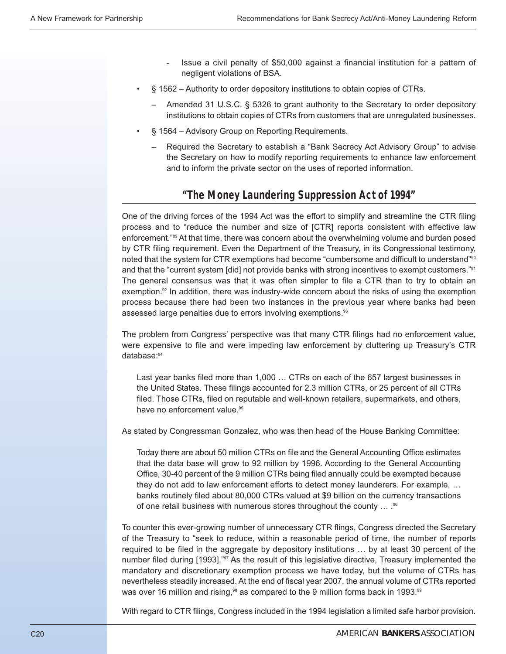- Issue a civil penalty of \$50,000 against a financial institution for a pattern of negligent violations of BSA.
- § 1562 Authority to order depository institutions to obtain copies of CTRs.
	- Amended 31 U.S.C. § 5326 to grant authority to the Secretary to order depository institutions to obtain copies of CTRs from customers that are unregulated businesses.
- § 1564 Advisory Group on Reporting Requirements.
	- Required the Secretary to establish a "Bank Secrecy Act Advisory Group" to advise the Secretary on how to modify reporting requirements to enhance law enforcement and to inform the private sector on the uses of reported information.

## **"The Money Laundering Suppression Act of 1994"**

One of the driving forces of the 1994 Act was the effort to simplify and streamline the CTR filing process and to "reduce the number and size of [CTR] reports consistent with effective law enforcement."89 At that time, there was concern about the overwhelming volume and burden posed by CTR filing requirement. Even the Department of the Treasury, in its Congressional testimony, noted that the system for CTR exemptions had become "cumbersome and difficult to understand"<sup>90</sup> and that the "current system [did] not provide banks with strong incentives to exempt customers."91 The general consensus was that it was often simpler to file a CTR than to try to obtain an exemption. $92$  In addition, there was industry-wide concern about the risks of using the exemption process because there had been two instances in the previous year where banks had been assessed large penalties due to errors involving exemptions.<sup>93</sup>

The problem from Congress' perspective was that many CTR filings had no enforcement value, were expensive to file and were impeding law enforcement by cluttering up Treasury's CTR database:<sup>94</sup>

Last year banks filed more than 1,000 … CTRs on each of the 657 largest businesses in the United States. These filings accounted for 2.3 million CTRs, or 25 percent of all CTRs filed. Those CTRs, filed on reputable and well-known retailers, supermarkets, and others, have no enforcement value.<sup>95</sup>

As stated by Congressman Gonzalez, who was then head of the House Banking Committee:

Today there are about 50 million CTRs on file and the General Accounting Office estimates that the data base will grow to 92 million by 1996. According to the General Accounting Office, 30-40 percent of the 9 million CTRs being filed annually could be exempted because they do not add to law enforcement efforts to detect money launderers. For example, … banks routinely filed about 80,000 CTRs valued at \$9 billion on the currency transactions of one retail business with numerous stores throughout the county ... .<sup>96</sup>

To counter this ever-growing number of unnecessary CTR flings, Congress directed the Secretary of the Treasury to "seek to reduce, within a reasonable period of time, the number of reports required to be filed in the aggregate by depository institutions … by at least 30 percent of the number filed during [1993]."97 As the result of this legislative directive, Treasury implemented the mandatory and discretionary exemption process we have today, but the volume of CTRs has nevertheless steadily increased. At the end of fiscal year 2007, the annual volume of CTRs reported was over 16 million and rising, $98$  as compared to the 9 million forms back in 1993. $99$ 

With regard to CTR filings, Congress included in the 1994 legislation a limited safe harbor provision.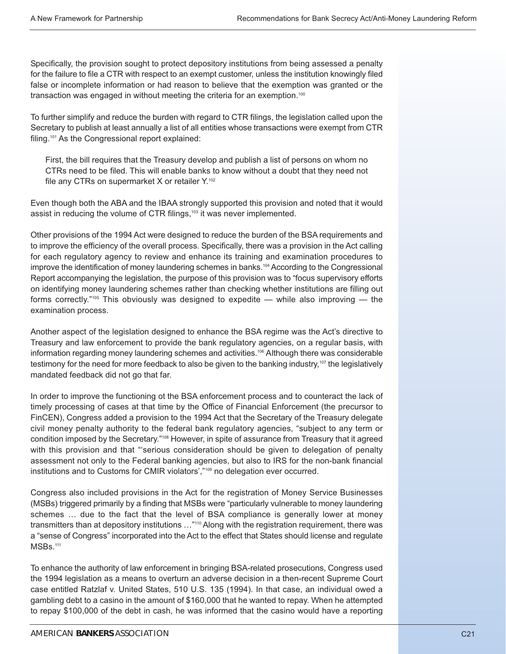Specifically, the provision sought to protect depository institutions from being assessed a penalty for the failure to file a CTR with respect to an exempt customer, unless the institution knowingly filed false or incomplete information or had reason to believe that the exemption was granted or the transaction was engaged in without meeting the criteria for an exemption.<sup>100</sup>

To further simplify and reduce the burden with regard to CTR filings, the legislation called upon the Secretary to publish at least annually a list of all entities whose transactions were exempt from CTR filing.<sup>101</sup> As the Congressional report explained:

First, the bill requires that the Treasury develop and publish a list of persons on whom no CTRs need to be filed. This will enable banks to know without a doubt that they need not file any CTRs on supermarket X or retailer Y.<sup>102</sup>

Even though both the ABA and the IBAA strongly supported this provision and noted that it would assist in reducing the volume of CTR filings,<sup>103</sup> it was never implemented.

Other provisions of the 1994 Act were designed to reduce the burden of the BSA requirements and to improve the efficiency of the overall process. Specifically, there was a provision in the Act calling for each regulatory agency to review and enhance its training and examination procedures to improve the identification of money laundering schemes in banks.<sup>104</sup> According to the Congressional Report accompanying the legislation, the purpose of this provision was to "focus supervisory efforts on identifying money laundering schemes rather than checking whether institutions are filling out forms correctly."<sup>105</sup> This obviously was designed to expedite — while also improving — the examination process.

Another aspect of the legislation designed to enhance the BSA regime was the Act's directive to Treasury and law enforcement to provide the bank regulatory agencies, on a regular basis, with information regarding money laundering schemes and activities.<sup>106</sup> Although there was considerable testimony for the need for more feedback to also be given to the banking industry, $107$  the legislatively mandated feedback did not go that far.

In order to improve the functioning ot the BSA enforcement process and to counteract the lack of timely processing of cases at that time by the Office of Financial Enforcement (the precursor to FinCEN), Congress added a provision to the 1994 Act that the Secretary of the Treasury delegate civil money penalty authority to the federal bank regulatory agencies, "subject to any term or condition imposed by the Secretary."108 However, in spite of assurance from Treasury that it agreed with this provision and that "'serious consideration should be given to delegation of penalty assessment not only to the Federal banking agencies, but also to IRS for the non-bank financial institutions and to Customs for CMIR violators',"109 no delegation ever occurred.

Congress also included provisions in the Act for the registration of Money Service Businesses (MSBs) triggered primarily by a finding that MSBs were "particularly vulnerable to money laundering schemes … due to the fact that the level of BSA compliance is generally lower at money transmitters than at depository institutions …"110 Along with the registration requirement, there was a "sense of Congress" incorporated into the Act to the effect that States should license and regulate MSBs.<sup>111</sup>

To enhance the authority of law enforcement in bringing BSA-related prosecutions, Congress used the 1994 legislation as a means to overturn an adverse decision in a then-recent Supreme Court case entitled Ratzlaf v. United States, 510 U.S. 135 (1994). In that case, an individual owed a gambling debt to a casino in the amount of \$160,000 that he wanted to repay. When he attempted to repay \$100,000 of the debt in cash, he was informed that the casino would have a reporting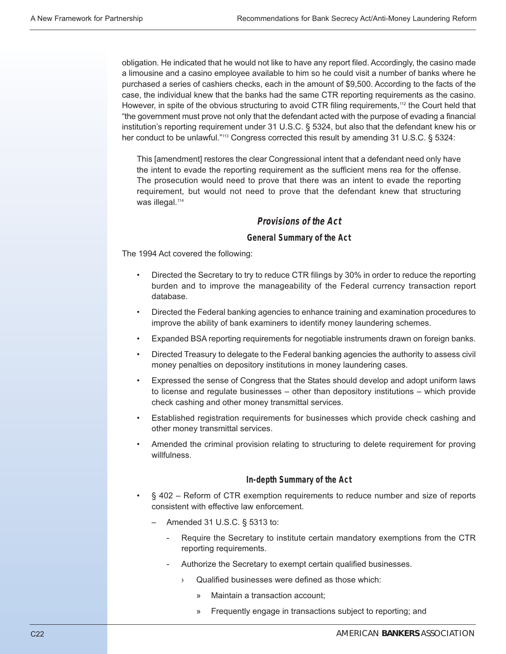obligation. He indicated that he would not like to have any report filed. Accordingly, the casino made a limousine and a casino employee available to him so he could visit a number of banks where he purchased a series of cashiers checks, each in the amount of \$9,500. According to the facts of the case, the individual knew that the banks had the same CTR reporting requirements as the casino. However, in spite of the obvious structuring to avoid CTR filing requirements,<sup>112</sup> the Court held that "the government must prove not only that the defendant acted with the purpose of evading a financial institution's reporting requirement under 31 U.S.C. § 5324, but also that the defendant knew his or her conduct to be unlawful."<sup>113</sup> Congress corrected this result by amending 31 U.S.C. § 5324:

This [amendment] restores the clear Congressional intent that a defendant need only have the intent to evade the reporting requirement as the sufficient mens rea for the offense. The prosecution would need to prove that there was an intent to evade the reporting requirement, but would not need to prove that the defendant knew that structuring was illegal.<sup>114</sup>

#### **Provisions of the Act**

#### **General Summary of the Act**

The 1994 Act covered the following:

- Directed the Secretary to try to reduce CTR filings by 30% in order to reduce the reporting burden and to improve the manageability of the Federal currency transaction report database.
- Directed the Federal banking agencies to enhance training and examination procedures to improve the ability of bank examiners to identify money laundering schemes.
- Expanded BSA reporting requirements for negotiable instruments drawn on foreign banks.
- Directed Treasury to delegate to the Federal banking agencies the authority to assess civil money penalties on depository institutions in money laundering cases.
- Expressed the sense of Congress that the States should develop and adopt uniform laws to license and regulate businesses – other than depository institutions – which provide check cashing and other money transmittal services.
- Established registration requirements for businesses which provide check cashing and other money transmittal services.
- Amended the criminal provision relating to structuring to delete requirement for proving willfulness.

#### **In-depth Summary of the Act**

- § 402 Reform of CTR exemption requirements to reduce number and size of reports consistent with effective law enforcement.
	- Amended 31 U.S.C. § 5313 to:
		- Require the Secretary to institute certain mandatory exemptions from the CTR reporting requirements.
		- Authorize the Secretary to exempt certain qualified businesses.
			- › Qualified businesses were defined as those which:
				- » Maintain a transaction account;
				- » Frequently engage in transactions subject to reporting; and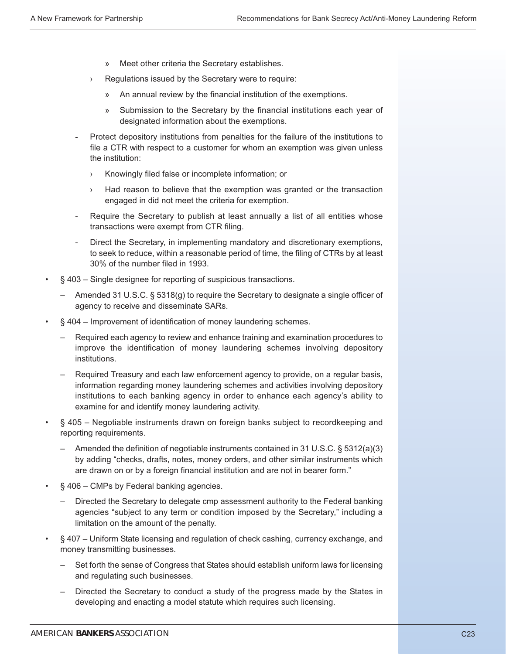- » Meet other criteria the Secretary establishes.
- › Regulations issued by the Secretary were to require:
	- » An annual review by the financial institution of the exemptions.
	- » Submission to the Secretary by the financial institutions each year of designated information about the exemptions.
- Protect depository institutions from penalties for the failure of the institutions to file a CTR with respect to a customer for whom an exemption was given unless the institution:
	- › Knowingly filed false or incomplete information; or
	- › Had reason to believe that the exemption was granted or the transaction engaged in did not meet the criteria for exemption.
- Require the Secretary to publish at least annually a list of all entities whose transactions were exempt from CTR filing.
- Direct the Secretary, in implementing mandatory and discretionary exemptions, to seek to reduce, within a reasonable period of time, the filing of CTRs by at least 30% of the number filed in 1993.
- § 403 Single designee for reporting of suspicious transactions.
	- Amended 31 U.S.C. § 5318(g) to require the Secretary to designate a single officer of agency to receive and disseminate SARs.
- § 404 Improvement of identification of money laundering schemes.
	- Required each agency to review and enhance training and examination procedures to improve the identification of money laundering schemes involving depository institutions.
	- Required Treasury and each law enforcement agency to provide, on a regular basis, information regarding money laundering schemes and activities involving depository institutions to each banking agency in order to enhance each agency's ability to examine for and identify money laundering activity.
- § 405 Negotiable instruments drawn on foreign banks subject to recordkeeping and reporting requirements.
	- Amended the definition of negotiable instruments contained in 31 U.S.C. § 5312(a)(3) by adding "checks, drafts, notes, money orders, and other similar instruments which are drawn on or by a foreign financial institution and are not in bearer form."
- § 406 CMPs by Federal banking agencies.
	- Directed the Secretary to delegate cmp assessment authority to the Federal banking agencies "subject to any term or condition imposed by the Secretary," including a limitation on the amount of the penalty.
- § 407 Uniform State licensing and regulation of check cashing, currency exchange, and money transmitting businesses.
	- Set forth the sense of Congress that States should establish uniform laws for licensing and regulating such businesses.
	- Directed the Secretary to conduct a study of the progress made by the States in developing and enacting a model statute which requires such licensing.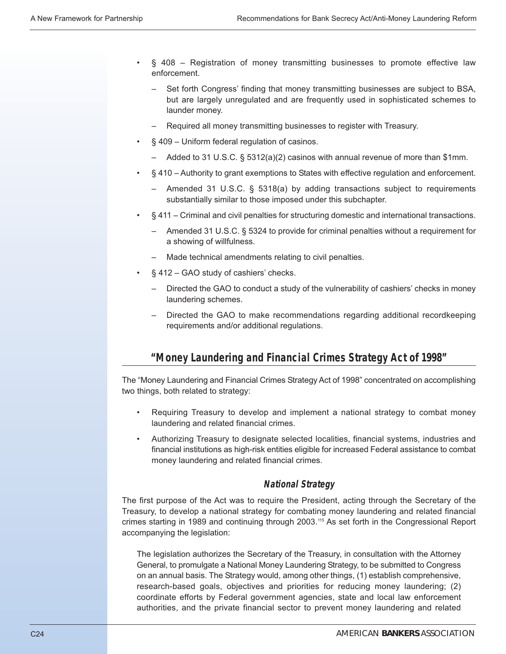- § 408 Registration of money transmitting businesses to promote effective law enforcement.
	- Set forth Congress' finding that money transmitting businesses are subject to BSA, but are largely unregulated and are frequently used in sophisticated schemes to launder money.
	- Required all money transmitting businesses to register with Treasury.
- § 409 Uniform federal regulation of casinos.
	- Added to 31 U.S.C. § 5312(a)(2) casinos with annual revenue of more than \$1mm.
- § 410 Authority to grant exemptions to States with effective regulation and enforcement.
	- Amended 31 U.S.C. § 5318(a) by adding transactions subject to requirements substantially similar to those imposed under this subchapter.
- § 411 Criminal and civil penalties for structuring domestic and international transactions.
	- Amended 31 U.S.C. § 5324 to provide for criminal penalties without a requirement for a showing of willfulness.
	- Made technical amendments relating to civil penalties.
- § 412 GAO study of cashiers' checks.
	- Directed the GAO to conduct a study of the vulnerability of cashiers' checks in money laundering schemes.
	- Directed the GAO to make recommendations regarding additional recordkeeping requirements and/or additional regulations.

# **"Money Laundering and Financial Crimes Strategy Act of 1998"**

The "Money Laundering and Financial Crimes Strategy Act of 1998" concentrated on accomplishing two things, both related to strategy:

- Requiring Treasury to develop and implement a national strategy to combat money laundering and related financial crimes.
- Authorizing Treasury to designate selected localities, financial systems, industries and financial institutions as high-risk entities eligible for increased Federal assistance to combat money laundering and related financial crimes.

#### **National Strategy**

The first purpose of the Act was to require the President, acting through the Secretary of the Treasury, to develop a national strategy for combating money laundering and related financial crimes starting in 1989 and continuing through 2003.<sup>115</sup> As set forth in the Congressional Report accompanying the legislation:

The legislation authorizes the Secretary of the Treasury, in consultation with the Attorney General, to promulgate a National Money Laundering Strategy, to be submitted to Congress on an annual basis. The Strategy would, among other things, (1) establish comprehensive, research-based goals, objectives and priorities for reducing money laundering; (2) coordinate efforts by Federal government agencies, state and local law enforcement authorities, and the private financial sector to prevent money laundering and related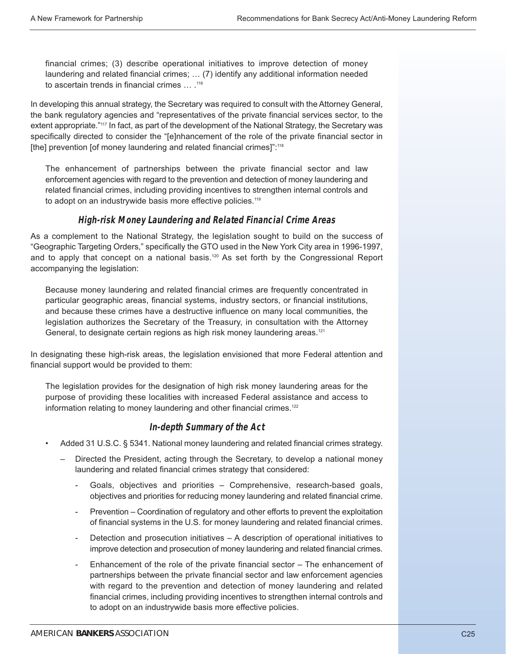financial crimes; (3) describe operational initiatives to improve detection of money laundering and related financial crimes; … (7) identify any additional information needed to ascertain trends in financial crimes … .116

In developing this annual strategy, the Secretary was required to consult with the Attorney General, the bank regulatory agencies and "representatives of the private financial services sector, to the extent appropriate."<sup>117</sup> In fact, as part of the development of the National Strategy, the Secretary was specifically directed to consider the "[e]nhancement of the role of the private financial sector in [the] prevention [of money laundering and related financial crimes]":<sup>118</sup>

The enhancement of partnerships between the private financial sector and law enforcement agencies with regard to the prevention and detection of money laundering and related financial crimes, including providing incentives to strengthen internal controls and to adopt on an industrywide basis more effective policies.<sup>119</sup>

#### **High-risk Money Laundering and Related Financial Crime Areas**

As a complement to the National Strategy, the legislation sought to build on the success of "Geographic Targeting Orders," specifically the GTO used in the New York City area in 1996-1997, and to apply that concept on a national basis.<sup>120</sup> As set forth by the Congressional Report accompanying the legislation:

Because money laundering and related financial crimes are frequently concentrated in particular geographic areas, financial systems, industry sectors, or financial institutions, and because these crimes have a destructive influence on many local communities, the legislation authorizes the Secretary of the Treasury, in consultation with the Attorney General, to designate certain regions as high risk money laundering areas.<sup>121</sup>

In designating these high-risk areas, the legislation envisioned that more Federal attention and financial support would be provided to them:

The legislation provides for the designation of high risk money laundering areas for the purpose of providing these localities with increased Federal assistance and access to information relating to money laundering and other financial crimes.<sup>122</sup>

## **In-depth Summary of the Act**

- Added 31 U.S.C. § 5341. National money laundering and related financial crimes strategy.
	- Directed the President, acting through the Secretary, to develop a national money laundering and related financial crimes strategy that considered:
		- Goals, objectives and priorities Comprehensive, research-based goals, objectives and priorities for reducing money laundering and related financial crime.
		- Prevention Coordination of regulatory and other efforts to prevent the exploitation of financial systems in the U.S. for money laundering and related financial crimes.
		- Detection and prosecution initiatives A description of operational initiatives to improve detection and prosecution of money laundering and related financial crimes.
		- Enhancement of the role of the private financial sector The enhancement of partnerships between the private financial sector and law enforcement agencies with regard to the prevention and detection of money laundering and related financial crimes, including providing incentives to strengthen internal controls and to adopt on an industrywide basis more effective policies.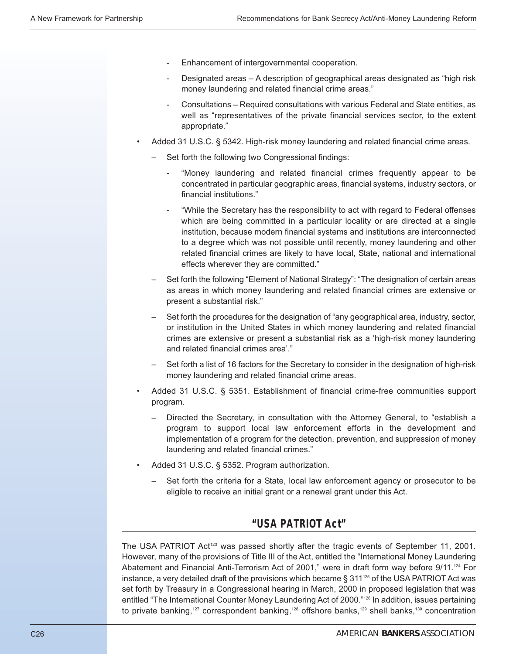- Enhancement of intergovernmental cooperation.
- Designated areas A description of geographical areas designated as "high risk" money laundering and related financial crime areas."
- Consultations Required consultations with various Federal and State entities, as well as "representatives of the private financial services sector, to the extent appropriate."
- Added 31 U.S.C. § 5342. High-risk money laundering and related financial crime areas.
	- Set forth the following two Congressional findings:
		- "Money laundering and related financial crimes frequently appear to be concentrated in particular geographic areas, financial systems, industry sectors, or financial institutions."
		- "While the Secretary has the responsibility to act with regard to Federal offenses which are being committed in a particular locality or are directed at a single institution, because modern financial systems and institutions are interconnected to a degree which was not possible until recently, money laundering and other related financial crimes are likely to have local, State, national and international effects wherever they are committed."
	- Set forth the following "Element of National Strategy": "The designation of certain areas as areas in which money laundering and related financial crimes are extensive or present a substantial risk."
	- Set forth the procedures for the designation of "any geographical area, industry, sector, or institution in the United States in which money laundering and related financial crimes are extensive or present a substantial risk as a 'high-risk money laundering and related financial crimes area'."
	- Set forth a list of 16 factors for the Secretary to consider in the designation of high-risk money laundering and related financial crime areas.
- Added 31 U.S.C. § 5351. Establishment of financial crime-free communities support program.
	- Directed the Secretary, in consultation with the Attorney General, to "establish a program to support local law enforcement efforts in the development and implementation of a program for the detection, prevention, and suppression of money laundering and related financial crimes."
- Added 31 U.S.C. § 5352. Program authorization.
	- Set forth the criteria for a State, local law enforcement agency or prosecutor to be eligible to receive an initial grant or a renewal grant under this Act.

# **"USA PATRIOT Act"**

The USA PATRIOT Act<sup>123</sup> was passed shortly after the tragic events of September 11, 2001. However, many of the provisions of Title III of the Act, entitled the "International Money Laundering Abatement and Financial Anti-Terrorism Act of 2001," were in draft form way before 9/11.124 For instance, a very detailed draft of the provisions which became § 311 $125$  of the USA PATRIOT Act was set forth by Treasury in a Congressional hearing in March, 2000 in proposed legislation that was entitled "The International Counter Money Laundering Act of 2000."<sup>126</sup> In addition, issues pertaining to private banking,<sup>127</sup> correspondent banking,<sup>128</sup> offshore banks,<sup>129</sup> shell banks,<sup>130</sup> concentration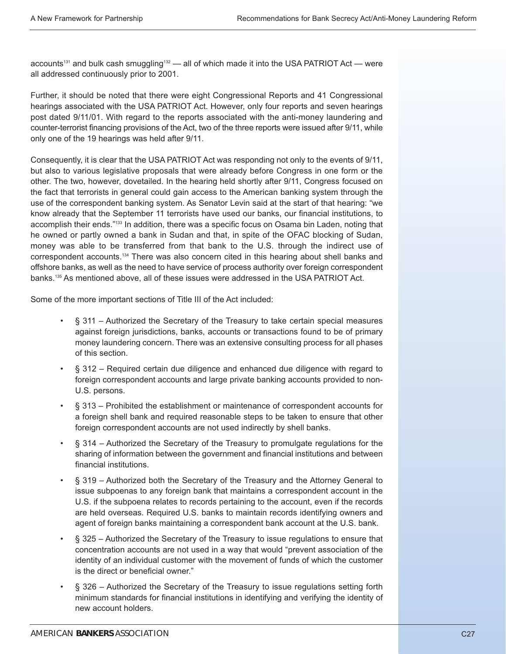accounts<sup>131</sup> and bulk cash smuggling<sup>132</sup> — all of which made it into the USA PATRIOT Act — were all addressed continuously prior to 2001.

Further, it should be noted that there were eight Congressional Reports and 41 Congressional hearings associated with the USA PATRIOT Act. However, only four reports and seven hearings post dated 9/11/01. With regard to the reports associated with the anti-money laundering and counter-terrorist financing provisions of the Act, two of the three reports were issued after 9/11, while only one of the 19 hearings was held after 9/11.

Consequently, it is clear that the USA PATRIOT Act was responding not only to the events of 9/11, but also to various legislative proposals that were already before Congress in one form or the other. The two, however, dovetailed. In the hearing held shortly after 9/11, Congress focused on the fact that terrorists in general could gain access to the American banking system through the use of the correspondent banking system. As Senator Levin said at the start of that hearing: "we know already that the September 11 terrorists have used our banks, our financial institutions, to accomplish their ends."133 In addition, there was a specific focus on Osama bin Laden, noting that he owned or partly owned a bank in Sudan and that, in spite of the OFAC blocking of Sudan, money was able to be transferred from that bank to the U.S. through the indirect use of correspondent accounts.134 There was also concern cited in this hearing about shell banks and offshore banks, as well as the need to have service of process authority over foreign correspondent banks.135 As mentioned above, all of these issues were addressed in the USA PATRIOT Act.

Some of the more important sections of Title III of the Act included:

- § 311 Authorized the Secretary of the Treasury to take certain special measures against foreign jurisdictions, banks, accounts or transactions found to be of primary money laundering concern. There was an extensive consulting process for all phases of this section.
- § 312 Required certain due diligence and enhanced due diligence with regard to foreign correspondent accounts and large private banking accounts provided to non-U.S. persons.
- § 313 Prohibited the establishment or maintenance of correspondent accounts for a foreign shell bank and required reasonable steps to be taken to ensure that other foreign correspondent accounts are not used indirectly by shell banks.
- § 314 Authorized the Secretary of the Treasury to promulgate regulations for the sharing of information between the government and financial institutions and between financial institutions.
- § 319 Authorized both the Secretary of the Treasury and the Attorney General to issue subpoenas to any foreign bank that maintains a correspondent account in the U.S. if the subpoena relates to records pertaining to the account, even if the records are held overseas. Required U.S. banks to maintain records identifying owners and agent of foreign banks maintaining a correspondent bank account at the U.S. bank.
- § 325 Authorized the Secretary of the Treasury to issue regulations to ensure that concentration accounts are not used in a way that would "prevent association of the identity of an individual customer with the movement of funds of which the customer is the direct or beneficial owner."
- § 326 Authorized the Secretary of the Treasury to issue regulations setting forth minimum standards for financial institutions in identifying and verifying the identity of new account holders.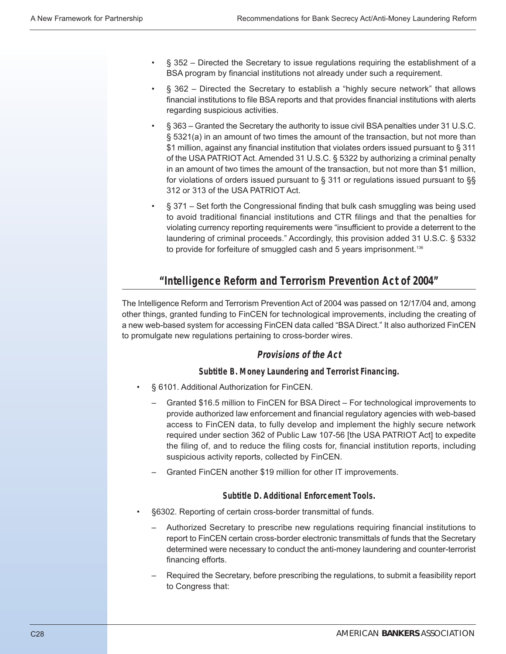- § 352 Directed the Secretary to issue regulations requiring the establishment of a BSA program by financial institutions not already under such a requirement.
- § 362 Directed the Secretary to establish a "highly secure network" that allows financial institutions to file BSA reports and that provides financial institutions with alerts regarding suspicious activities.
- § 363 Granted the Secretary the authority to issue civil BSA penalties under 31 U.S.C. § 5321(a) in an amount of two times the amount of the transaction, but not more than \$1 million, against any financial institution that violates orders issued pursuant to § 311 of the USA PATRIOT Act. Amended 31 U.S.C. § 5322 by authorizing a criminal penalty in an amount of two times the amount of the transaction, but not more than \$1 million, for violations of orders issued pursuant to § 311 or regulations issued pursuant to §§ 312 or 313 of the USA PATRIOT Act.
- § 371 Set forth the Congressional finding that bulk cash smuggling was being used to avoid traditional financial institutions and CTR filings and that the penalties for violating currency reporting requirements were "insufficient to provide a deterrent to the laundering of criminal proceeds." Accordingly, this provision added 31 U.S.C. § 5332 to provide for forfeiture of smuggled cash and 5 years imprisonment.<sup>136</sup>

# **"Intelligence Reform and Terrorism Prevention Act of 2004"**

The Intelligence Reform and Terrorism Prevention Act of 2004 was passed on 12/17/04 and, among other things, granted funding to FinCEN for technological improvements, including the creating of a new web-based system for accessing FinCEN data called "BSA Direct." It also authorized FinCEN to promulgate new regulations pertaining to cross-border wires.

## **Provisions of the Act**

#### **Subtitle B. Money Laundering and Terrorist Financing.**

- § 6101. Additional Authorization for FinCEN.
	- Granted \$16.5 million to FinCEN for BSA Direct For technological improvements to provide authorized law enforcement and financial regulatory agencies with web-based access to FinCEN data, to fully develop and implement the highly secure network required under section 362 of Public Law 107-56 [the USA PATRIOT Act] to expedite the filing of, and to reduce the filing costs for, financial institution reports, including suspicious activity reports, collected by FinCEN.
	- Granted FinCEN another \$19 million for other IT improvements.

#### **Subtitle D. Additional Enforcement Tools.**

- §6302. Reporting of certain cross-border transmittal of funds.
	- Authorized Secretary to prescribe new regulations requiring financial institutions to report to FinCEN certain cross-border electronic transmittals of funds that the Secretary determined were necessary to conduct the anti-money laundering and counter-terrorist financing efforts.
	- Required the Secretary, before prescribing the regulations, to submit a feasibility report to Congress that: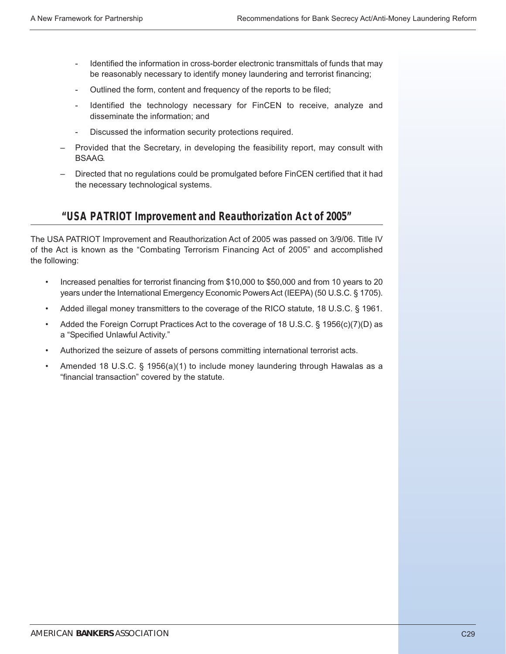- Identified the information in cross-border electronic transmittals of funds that may be reasonably necessary to identify money laundering and terrorist financing;
- Outlined the form, content and frequency of the reports to be filed;
- Identified the technology necessary for FinCEN to receive, analyze and disseminate the information; and
- Discussed the information security protections required.
- Provided that the Secretary, in developing the feasibility report, may consult with BSAAG.
- Directed that no regulations could be promulgated before FinCEN certified that it had the necessary technological systems.

## **"USA PATRIOT Improvement and Reauthorization Act of 2005"**

The USA PATRIOT Improvement and Reauthorization Act of 2005 was passed on 3/9/06. Title IV of the Act is known as the "Combating Terrorism Financing Act of 2005" and accomplished the following:

- Increased penalties for terrorist financing from \$10,000 to \$50,000 and from 10 years to 20 years under the International Emergency Economic Powers Act (IEEPA) (50 U.S.C. § 1705).
- Added illegal money transmitters to the coverage of the RICO statute, 18 U.S.C. § 1961.
- Added the Foreign Corrupt Practices Act to the coverage of 18 U.S.C. § 1956(c)(7)(D) as a "Specified Unlawful Activity."
- Authorized the seizure of assets of persons committing international terrorist acts.
- Amended 18 U.S.C. § 1956(a)(1) to include money laundering through Hawalas as a "financial transaction" covered by the statute.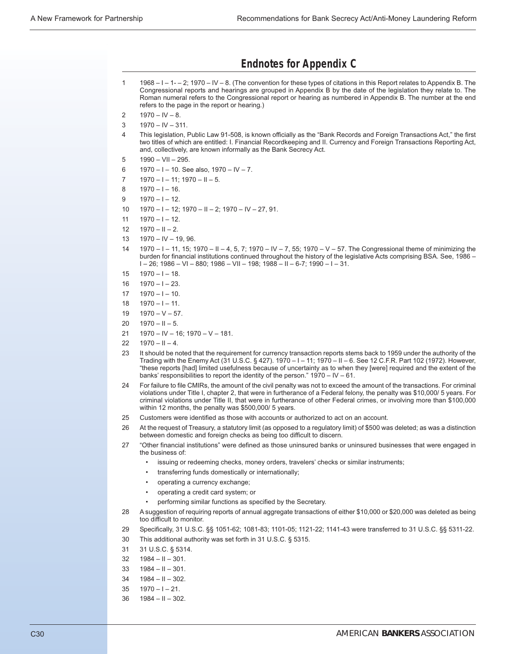## **Endnotes for Appendix C**

- 1 1968 I 1- 2; 1970 IV 8. (The convention for these types of citations in this Report relates to Appendix B. The Congressional reports and hearings are grouped in Appendix B by the date of the legislation they relate to. The Roman numeral refers to the Congressional report or hearing as numbered in Appendix B. The number at the end refers to the page in the report or hearing.)
- $2 \qquad 1970 10 8.$
- $3 \qquad 1970 10 311.$
- 4 This legislation, Public Law 91-508, is known officially as the "Bank Records and Foreign Transactions Act," the first two titles of which are entitled: I. Financial Recordkeeping and II. Currency and Foreign Transactions Reporting Act, and, collectively, are known informally as the Bank Secrecy Act.
- $5$  1990 VII 295.
- 6 1970 I 10. See also,  $1970 1V 7$ .
- $7$  1970 I 11; 1970 II 5.
- $8 \qquad 1970 1 16.$
- $9$  1970 I 12.
- 10  $1970 1 12$ ; 1970 II 2; 1970 IV 27, 91.
- 11  $1970 1 12$ .
- $12 \quad 1970 11 2$ .
- 13 1970 IV 19, 96.
- 14 1970 I 11, 15; 1970 II 4, 5, 7; 1970 IV 7, 55; 1970 V 57. The Congressional theme of minimizing the burden for financial institutions continued throughout the history of the legislative Acts comprising BSA. See, 1986 –  $I - 26$ ; 1986 – VI – 880; 1986 – VII – 198; 1988 – II – 6-7; 1990 – I – 31.
- $15$  1970 I 18.
- $16$  1970 I 23.
- $17$   $1970 1 10$ .
- $18$  1970 I 11.
- $19 1970 V 57.$
- $20 \quad 1970 \text{II} 5.$
- 21 1970 IV 16; 1970 V 181.
- $22 \quad 1970 11 4.$
- 23 It should be noted that the requirement for currency transaction reports stems back to 1959 under the authority of the Trading with the Enemy Act (31 U.S.C. § 427). 1970 – I – 11; 1970 – II – 6. See 12 C.F.R. Part 102 (1972). However, "these reports [had] limited usefulness because of uncertainty as to when they [were] required and the extent of the banks' responsibilities to report the identity of the person." 1970 – IV – 61.
- 24 For failure to file CMIRs, the amount of the civil penalty was not to exceed the amount of the transactions. For criminal violations under Title I, chapter 2, that were in furtherance of a Federal felony, the penalty was \$10,000/ 5 years. For criminal violations under Title II, that were in furtherance of other Federal crimes, or involving more than \$100,000 within 12 months, the penalty was \$500,000/ 5 years.
- 25 Customers were identified as those with accounts or authorized to act on an account.
- 26 At the request of Treasury, a statutory limit (as opposed to a regulatory limit) of \$500 was deleted; as was a distinction between domestic and foreign checks as being too difficult to discern.
- 27 "Other financial institutions" were defined as those uninsured banks or uninsured businesses that were engaged in the business of:
	- issuing or redeeming checks, money orders, travelers' checks or similar instruments;
	- transferring funds domestically or internationally;
	- operating a currency exchange;
	- operating a credit card system; or
	- performing similar functions as specified by the Secretary.
- 28 A suggestion of requiring reports of annual aggregate transactions of either \$10,000 or \$20,000 was deleted as being too difficult to monitor.
- 29 Specifically, 31 U.S.C. §§ 1051-62; 1081-83; 1101-05; 1121-22; 1141-43 were transferred to 31 U.S.C. §§ 5311-22.
- 30 This additional authority was set forth in 31 U.S.C. § 5315.
- 31 31 U.S.C. § 5314.
- $32$  1984 II 301.
- $33 \quad 1984 \text{II} 301.$
- $34$  1984 II 302.
- $35 \quad 1970 1 21.$
- $36$  1984 II 302.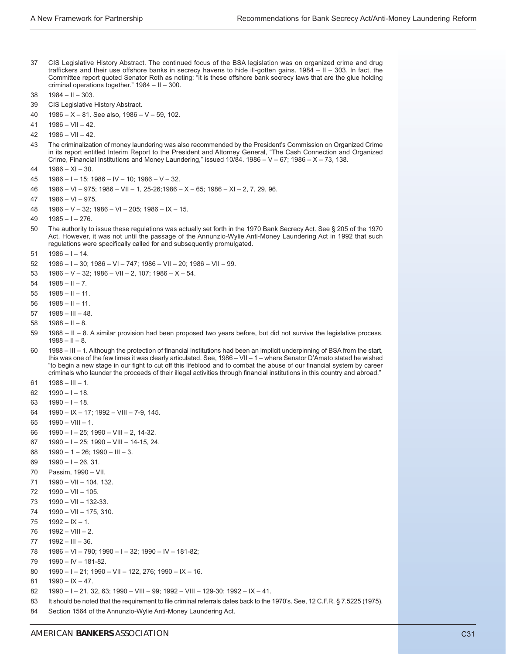- 37 CIS Legislative History Abstract. The continued focus of the BSA legislation was on organized crime and drug traffickers and their use offshore banks in secrecy havens to hide ill-gotten gains. 1984 – II – 303. In fact, the Committee report quoted Senator Roth as noting: "it is these offshore bank secrecy laws that are the glue holding criminal operations together." 1984 – II – 300.
- $38$  1984 II 303.
- 39 CIS Legislative History Abstract.
- $40$  1986 X 81. See also, 1986 V 59, 102.
- $41$  1986 VII 42.
- $42 \quad 1986 VIII 42.$
- 43 The criminalization of money laundering was also recommended by the President's Commission on Organized Crime in its report entitled Interim Report to the President and Attorney General, "The Cash Connection and Organized Crime, Financial Institutions and Money Laundering," issued  $10/84$ . 1986 – V – 67; 1986 – X – 73, 138.
- $44$  1986 XI 30.
- $45 \quad 1986 1 15$ ; 1986 IV 10; 1986 V 32.
- 46 1986 VI 975; 1986 VII 1, 25-26;1986 X 65; 1986 XI 2, 7, 29, 96.
- $47$  1986 VI 975.
- $48$  1986 V 32; 1986 VI 205; 1986 IX 15.
- $49$  1985 I 276.
- 50 The authority to issue these regulations was actually set forth in the 1970 Bank Secrecy Act. See § 205 of the 1970 Act. However, it was not until the passage of the Annunzio-Wylie Anti-Money Laundering Act in 1992 that such regulations were specifically called for and subsequently promulgated.
- $51$  1986 I 14.
- 52 1986 I 30; 1986 VI 747; 1986 VII 20; 1986 VII 99.
- $1986 V 32$ ; 1986 VII 2, 107; 1986 X 54.
- $54$  1988 II 7.
- $55$   $1988 11 11$ .
- $56$   $1988 11 11$ .
- $57$   $1988 111 48$ .
- $58$   $1988 H 8$ .
- 59 1988 II 8. A similar provision had been proposed two years before, but did not survive the legislative process.  $1988 - H - 8.$
- 60 1988 III 1. Although the protection of financial institutions had been an implicit underpinning of BSA from the start, this was one of the few times it was clearly articulated. See, 1986 – VII – 1 – where Senator D'Amato stated he wished "to begin a new stage in our fight to cut off this lifeblood and to combat the abuse of our financial system by career criminals who launder the proceeds of their illegal activities through financial institutions in this country and abroad."
- $61$  1988 III 1.
- $62 \quad 1990 1 18.$
- 63  $1990 1 18$ .
- 64 1990 IX 17; 1992 VIII 7-9, 145.
- 65  $1990 VIII 1$ .
- 66 1990 I 25; 1990 VIII 2, 14-32.
- 67 1990 I 25; 1990 VIII 14-15, 24.
- 68  $1990 1 26$ ; 1990 III 3.
- 69  $1990 1 26, 31$ .
- 70 Passim, 1990 VII.
- 71 1990 VII 104, 132.
- 72 1990 VII 105.
- $73$  1990 VII 132-33.
- 74 1990 VII 175, 310.
- $75 \quad 1992 1X 1$ .
- $76$  1992 VIII 2.
- $77$  1992 III 36.
- 78 1986 VI 790; 1990 I 32; 1990 IV 181-82;
- 79 1990 IV 181-82.
- 80 1990 I 21; 1990 VII 122, 276; 1990 IX 16.
- 81  $1990 IX 47$ .
- 82 1990 I 21, 32, 63; 1990 VIII 99; 1992 VIII 129-30; 1992 IX 41.
- 83 It should be noted that the requirement to file criminal referrals dates back to the 1970's. See, 12 C.F.R. § 7.5225 (1975).
- 84 Section 1564 of the Annunzio-Wylie Anti-Money Laundering Act.